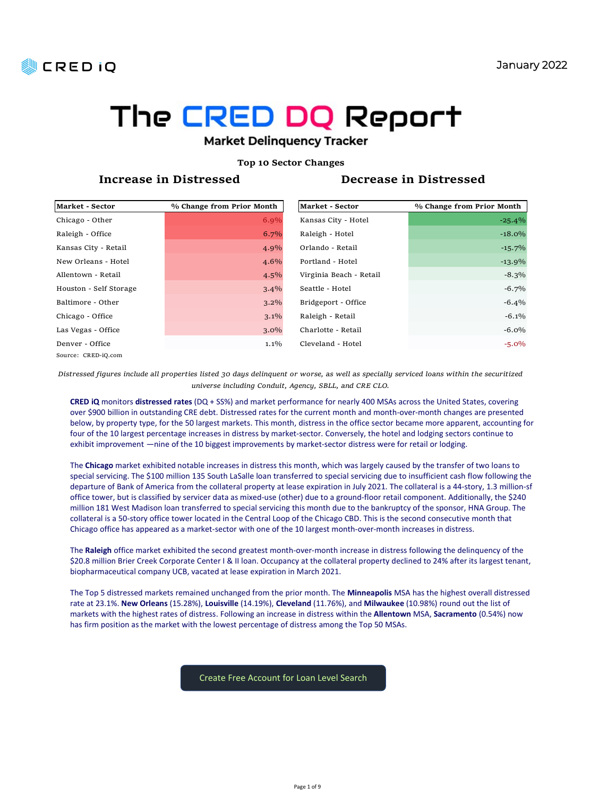



### Top 10 Sector Changes

| <b>REDIO</b>                              |                                                                                                                                                                                                                                                                                      |                                               |                                                                                                                        | January 2022 |
|-------------------------------------------|--------------------------------------------------------------------------------------------------------------------------------------------------------------------------------------------------------------------------------------------------------------------------------------|-----------------------------------------------|------------------------------------------------------------------------------------------------------------------------|--------------|
|                                           |                                                                                                                                                                                                                                                                                      |                                               |                                                                                                                        |              |
|                                           |                                                                                                                                                                                                                                                                                      |                                               |                                                                                                                        |              |
|                                           | The CRED DQ Report                                                                                                                                                                                                                                                                   |                                               |                                                                                                                        |              |
|                                           | <b>Market Delinquency Tracker</b>                                                                                                                                                                                                                                                    |                                               |                                                                                                                        |              |
|                                           |                                                                                                                                                                                                                                                                                      | <b>Top 10 Sector Changes</b>                  |                                                                                                                        |              |
|                                           | Increase in Distressed                                                                                                                                                                                                                                                               |                                               | Decrease in Distressed                                                                                                 |              |
|                                           |                                                                                                                                                                                                                                                                                      |                                               |                                                                                                                        |              |
| <b>Market - Sector</b><br>Chicago - Other | % Change from Prior Month<br>6.9%                                                                                                                                                                                                                                                    | <b>Market - Sector</b><br>Kansas City - Hotel | % Change from Prior Month                                                                                              | $-25.4%$     |
| Raleigh - Office                          | $6.7\%$                                                                                                                                                                                                                                                                              | Raleigh - Hotel                               |                                                                                                                        | $-18.0%$     |
| Kansas City - Retail                      | 4.9%                                                                                                                                                                                                                                                                                 | Orlando - Retail                              |                                                                                                                        | $-15.7%$     |
| New Orleans - Hotel                       | 4.6%                                                                                                                                                                                                                                                                                 | Portland - Hotel                              |                                                                                                                        | $-13.9%$     |
| Allentown - Retail                        | 4.5%                                                                                                                                                                                                                                                                                 | Virginia Beach - Retail                       |                                                                                                                        | $-8.3\%$     |
| Houston - Self Storage                    | $3.4\%$                                                                                                                                                                                                                                                                              | Seattle - Hotel                               |                                                                                                                        | $-6.7\%$     |
| Baltimore - Other                         | $3.2\%$                                                                                                                                                                                                                                                                              | Bridgeport - Office                           |                                                                                                                        | $-6.4\%$     |
| Chicago - Office                          | 3.1%                                                                                                                                                                                                                                                                                 | Raleigh - Retail                              |                                                                                                                        | $-6.1\%$     |
| Las Vegas - Office                        | $3.0\%$                                                                                                                                                                                                                                                                              | Charlotte - Retail                            |                                                                                                                        | $-6.0\%$     |
| Denver - Office<br>Source: CRED-iQ.com    | $1.1\%$                                                                                                                                                                                                                                                                              | Cleveland - Hotel                             |                                                                                                                        | $-5.0\%$     |
|                                           | Distressed figures include all properties listed 30 days delinquent or worse, as well as specially serviced loans within the securitized                                                                                                                                             |                                               |                                                                                                                        |              |
|                                           | universe including Conduit, Agency, SBLL, and CRE CLO.                                                                                                                                                                                                                               |                                               |                                                                                                                        |              |
|                                           | CRED IQ monitors distressed rates (DQ + SS%) and market performance for nearly 400 MSAs across the United States, covering                                                                                                                                                           |                                               |                                                                                                                        |              |
|                                           | over \$900 billion in outstanding CRE debt. Distressed rates for the current month and month-over-month changes are presented<br>below, by property type, for the 50 largest markets. This month, distress in the office sector became more apparent, accounting for                 |                                               |                                                                                                                        |              |
|                                           | four of the 10 largest percentage increases in distress by market-sector. Conversely, the hotel and lodging sectors continue to                                                                                                                                                      |                                               |                                                                                                                        |              |
|                                           | exhibit improvement -nine of the 10 biggest improvements by market-sector distress were for retail or lodging.                                                                                                                                                                       |                                               |                                                                                                                        |              |
|                                           | The Chicago market exhibited notable increases in distress this month, which was largely caused by the transfer of two loans to                                                                                                                                                      |                                               |                                                                                                                        |              |
|                                           | special servicing. The \$100 million 135 South LaSalle loan transferred to special servicing due to insufficient cash flow following the<br>departure of Bank of America from the collateral property at lease expiration in July 2021. The collateral is a 44-story, 1.3 million-sf |                                               |                                                                                                                        |              |
|                                           | office tower, but is classified by servicer data as mixed-use (other) due to a ground-floor retail component. Additionally, the \$240                                                                                                                                                |                                               |                                                                                                                        |              |
|                                           | million 181 West Madison loan transferred to special servicing this month due to the bankruptcy of the sponsor, HNA Group. The                                                                                                                                                       |                                               |                                                                                                                        |              |
|                                           | collateral is a 50-story office tower located in the Central Loop of the Chicago CBD. This is the second consecutive month that<br>Chicago office has appeared as a market-sector with one of the 10 largest month-over-month increases in distress.                                 |                                               |                                                                                                                        |              |
|                                           |                                                                                                                                                                                                                                                                                      |                                               |                                                                                                                        |              |
|                                           | The Raleigh office market exhibited the second greatest month-over-month increase in distress following the delinquency of the<br>\$20.8 million Brier Creek Corporate Center   & II Ioan. Occupancy at the collateral property declined to 24% after its largest tenant,            |                                               |                                                                                                                        |              |
|                                           | biopharmaceutical company UCB, vacated at lease expiration in March 2021.                                                                                                                                                                                                            |                                               |                                                                                                                        |              |
|                                           |                                                                                                                                                                                                                                                                                      |                                               |                                                                                                                        |              |
|                                           | The Top 5 distressed markets remained unchanged from the prior month. The Minneapolis MSA has the highest overall distressed                                                                                                                                                         |                                               | rate at 23,1% New Orleans (15,28%) Louisville (14,19%) Cleveland (11,76%) and Milwaukee (10,98%) round out the list of |              |

The Chicago market exhibited notable increases in distress this month, which was largely caused by the transfer of two loans to special servicing. The \$100 million 135 South LaSalle loan transferred to special servicing due to insufficient cash flow following the departure of Bank of America from the collateral property at lease expiration in July 2021. The collateral is a 44-story, 1.3 million-sf office tower, but is classified by servicer data as mixed-use (other) due to a ground-floor retail component. Additionally, the \$240 million 181 West Madison loan transferred to special servicing this month due to the bankruptcy of the sponsor, HNA Group. The collateral is a 50-story office tower located in the Central Loop of the Chicago CBD. This is the second consecutive month that research figures at a more corresponse interest properties thereto at a more consideration of the CAC.<br>
The content of the content of the content of the content of the content of the CAC. CONSIDENT in the content of the co

The Top 5 distressed markets remained unchanged from the prior month. The Minneapolis MSA has the highest overall distressed markets with the highest rates of distress. Following an increase in distress within the Allentown MSA, Sacramento (0.54%) now has firm position as the market with the lowest percentage of distress among the Top 50 MSAs.

Create Free Account for Loan Level Search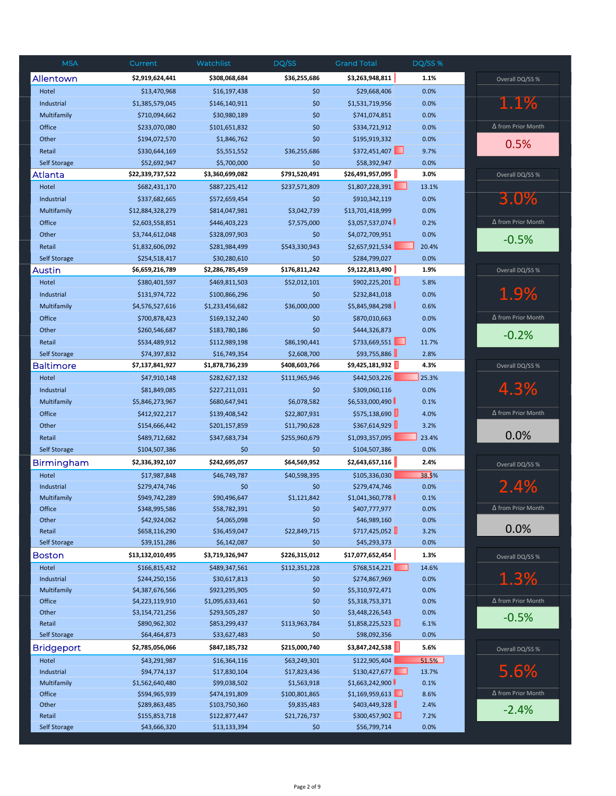| <b>MSA</b>            | Current                            | Watchlist                        | DQ/SS         | <b>Grand Total</b>                 | DQ/SS %      |                           |
|-----------------------|------------------------------------|----------------------------------|---------------|------------------------------------|--------------|---------------------------|
| Allentown             | \$2,919,624,441                    | \$308,068,684                    | \$36,255,686  | \$3,263,948,811                    | 1.1%         | Overall DQ/SS %           |
| Hotel                 | \$13,470,968                       | \$16,197,438                     | \$0           | \$29,668,406                       | 0.0%         |                           |
| Industrial            | \$1,385,579,045                    | \$146,140,911                    | \$0           | \$1,531,719,956                    | 0.0%         | 1.1%                      |
| Multifamily           | \$710,094,662                      | \$30,980,189                     | \$0           | \$741,074,851                      | 0.0%         |                           |
| Office                | \$233,070,080                      | \$101,651,832                    | \$0           | \$334,721,912                      | 0.0%         | ∆ from Prior Month        |
| Other                 | \$194,072,570                      | \$1,846,762                      | \$0           | \$195,919,332                      | 0.0%         | 0.5%                      |
| Retail                | \$330,644,169                      | \$5,551,552                      | \$36,255,686  | \$372,451,407                      | 9.7%         |                           |
| Self Storage          | \$52,692,947                       | \$5,700,000                      | \$0           | \$58,392,947                       | 0.0%         |                           |
| Atlanta               | \$22,339,737,522                   | \$3,360,699,082                  | \$791,520,491 | \$26,491,957,095                   | 3.0%         | Overall DQ/SS %           |
| Hotel                 | \$682,431,170                      | \$887,225,412                    | \$237,571,809 | \$1,807,228,391                    | 13.1%        |                           |
| Industrial            | \$337,682,665                      | \$572,659,454                    | \$0           | \$910,342,119                      | 0.0%         | 3.0%                      |
| Multifamily           | \$12,884,328,279                   | \$814,047,981                    | \$3,042,739   | \$13,701,418,999                   | 0.0%         |                           |
| Office                | \$2,603,558,851                    | \$446,403,223                    | \$7,575,000   | \$3,057,537,074                    | 0.2%         | ∆ from Prior Month        |
| Other                 | \$3,744,612,048                    | \$328,097,903                    | \$0           | \$4,072,709,951                    | 0.0%         | $-0.5%$                   |
| Retail                | \$1,832,606,092                    | \$281,984,499                    | \$543,330,943 | \$2,657,921,534                    | 20.4%        |                           |
| Self Storage          | \$254,518,417                      | \$30,280,610                     | \$0           | \$284,799,027                      | 0.0%         |                           |
| Austin                | \$6,659,216,789                    | \$2,286,785,459                  | \$176,811,242 | \$9,122,813,490                    | 1.9%         | Overall DQ/SS %           |
| Hotel                 | \$380,401,597                      | \$469,811,503                    | \$52,012,101  | \$902,225,201                      | 5.8%         |                           |
| Industrial            | \$131,974,722                      | \$100,866,296                    | \$0           | \$232,841,018                      | 0.0%         | 1.9%                      |
| Multifamily           | \$4,576,527,616                    | \$1,233,456,682                  | \$36,000,000  | \$5,845,984,298                    | 0.6%         |                           |
| Office                | \$700,878,423                      | \$169,132,240                    | \$0           | \$870,010,663                      | 0.0%         | ∆ from Prior Month        |
| Other                 | \$260,546,687                      | \$183,780,186                    | \$0           | \$444,326,873                      | 0.0%         | $-0.2%$                   |
| Retail                | \$534,489,912                      | \$112,989,198                    | \$86,190,441  | \$733,669,551<br>ш                 | 11.7%        |                           |
| <b>Self Storage</b>   | \$74,397,832                       | \$16,749,354                     | \$2,608,700   | \$93,755,886                       | 2.8%         |                           |
| Baltimore             | \$7,137,841,927                    | \$1,878,736,239                  | \$408,603,766 | \$9,425,181,932                    | 4.3%         | Overall DQ/SS %           |
| Hotel                 | \$47,910,148                       | \$282,627,132                    | \$111,965,946 | \$442,503,226                      | 25.3%        |                           |
| Industrial            | \$81,849,085                       | \$227,211,031                    | \$0           | \$309,060,116                      | 0.0%         | 4.3%                      |
| Multifamily           | \$5,846,273,967                    | \$680,647,941                    | \$6,078,582   | \$6,533,000,490                    | 0.1%         |                           |
| Office                | \$412,922,217                      | \$139,408,542                    | \$22,807,931  | \$575,138,690                      | 4.0%         | Δ from Prior Month        |
| Other                 | \$154,666,442                      | \$201,157,859                    | \$11,790,628  | \$367,614,929                      | 3.2%         |                           |
| Retail                | \$489,712,682                      | \$347,683,734                    | \$255,960,679 | \$1,093,357,095                    | 23.4%        | 0.0%                      |
| <b>Self Storage</b>   | \$104,507,386                      | \$0                              | \$0           | \$104,507,386                      | 0.0%         |                           |
| <b>Birmingham</b>     | \$2,336,392,107                    | \$242,695,057                    | \$64,569,952  | \$2,643,657,116                    | 2.4%         | Overall DQ/SS %           |
| Hotel                 | \$17,987,848                       | \$46,749,787                     | \$40,598,395  | \$105,336,030                      | 38.5%        |                           |
| Industrial            | \$279,474,746                      | \$0                              | \$0           | \$279,474,746                      | 0.0%         | 2.4%                      |
| Multifamily           | \$949,742,289                      | \$90,496,647                     | \$1,121,842   | \$1,041,360,778                    | 0.1%         |                           |
| Office                | \$348,995,586                      | \$58,782,391                     | Ş0            | \$407,777,977                      | 0.0%         | Δ from Prior Month        |
| Other                 | \$42,924,062                       | \$4,065,098                      | \$0           | \$46,989,160                       | 0.0%         | 0.0%                      |
| Retail                | \$658,116,290                      | \$36,459,047                     | \$22,849,715  | \$717,425,052                      | 3.2%         |                           |
| <b>Self Storage</b>   | \$39,151,286                       | \$6,142,087                      | \$0           | \$45,293,373                       | 0.0%         |                           |
| Boston                | \$13,132,010,495                   | \$3,719,326,947                  | \$226,315,012 | \$17,077,652,454                   | 1.3%         | Overall DQ/SS %           |
| Hotel                 | \$166,815,432                      | \$489,347,561                    | \$112,351,228 | \$768,514,221                      | 14.6%        |                           |
| Industrial            | \$244,250,156                      | \$30,617,813                     | \$0           | \$274,867,969                      | 0.0%         | 1.3%                      |
| Multifamily<br>Office | \$4,387,676,566<br>\$4,223,119,910 | \$923,295,905<br>\$1,095,633,461 | \$0<br>\$0    | \$5,310,972,471<br>\$5,318,753,371 | 0.0%<br>0.0% | Δ from Prior Month        |
| Other                 | \$3,154,721,256                    | \$293,505,287                    | \$0           | \$3,448,226,543                    | 0.0%         |                           |
| Retail                | \$890,962,302                      | \$853,299,437                    | \$113,963,784 | \$1,858,225,523                    | 6.1%         | $-0.5%$                   |
| Self Storage          | \$64,464,873                       | \$33,627,483                     | \$0           | \$98,092,356                       | 0.0%         |                           |
| <b>Bridgeport</b>     | \$2,785,056,066                    | \$847,185,732                    | \$215,000,740 | \$3,847,242,538                    | 5.6%         | Overall DQ/SS %           |
| Hotel                 | \$43,291,987                       | \$16,364,116                     | \$63,249,301  | \$122,905,404                      | 51.5%        |                           |
| Industrial            | \$94,774,137                       | \$17,830,104                     | \$17,823,436  | \$130,427,677                      | 13.7%        | 5.6%                      |
| Multifamily           | \$1,562,640,480                    | \$99,038,502                     | \$1,563,918   | \$1,663,242,900                    | 0.1%         |                           |
| Office                | \$594,965,939                      | \$474,191,809                    | \$100,801,865 | \$1,169,959,613                    | 8.6%         | $\Delta$ from Prior Month |
| Other                 | \$289,863,485                      | \$103,750,360                    | \$9,835,483   | \$403,449,328                      | 2.4%         | $-2.4%$                   |
| Retail                | \$155,853,718                      | \$122,877,447                    | \$21,726,737  | \$300,457,902                      | 7.2%         |                           |
| Self Storage          | \$43,666,320                       | \$13,133,394                     | \$0           | \$56,799,714                       | 0.0%         |                           |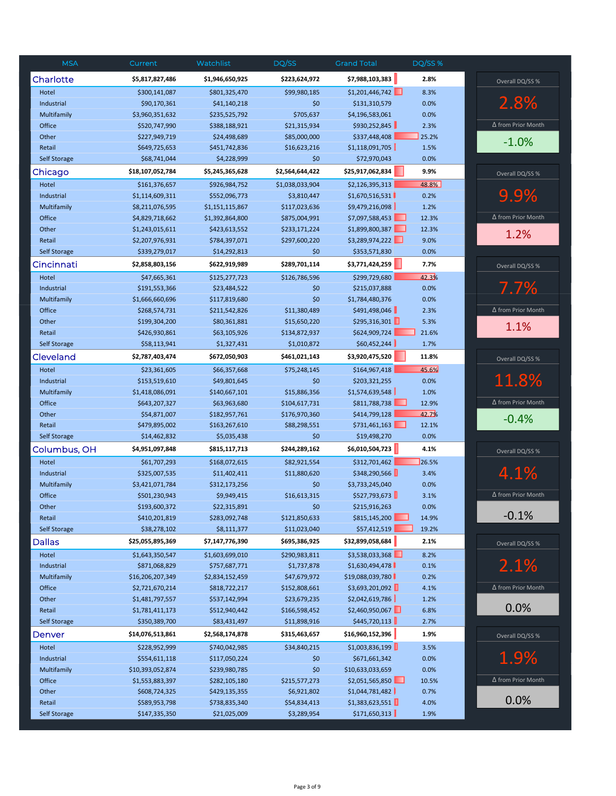| <b>MSA</b>          | Current          | Watchlist       | DQ/SS           | <b>Grand Total</b> | <b>DQ/SS %</b> |                           |
|---------------------|------------------|-----------------|-----------------|--------------------|----------------|---------------------------|
| Charlotte           | \$5,817,827,486  | \$1,946,650,925 | \$223,624,972   | \$7,988,103,383    | 2.8%           | Overall DQ/SS %           |
| Hotel               | \$300,141,087    | \$801,325,470   | \$99,980,185    | \$1,201,446,742    | 8.3%           |                           |
| Industrial          | \$90,170,361     | \$41,140,218    | \$0             | \$131,310,579      | 0.0%           | 2.8%                      |
| Multifamily         | \$3,960,351,632  | \$235,525,792   | \$705,637       | \$4,196,583,061    | 0.0%           |                           |
| Office              | \$520,747,990    | \$388,188,921   | \$21,315,934    | \$930,252,845      | 2.3%           | ∆ from Prior Month        |
| Other               | \$227,949,719    | \$24,498,689    | \$85,000,000    | \$337,448,408      | 25.2%          | $-1.0%$                   |
| Retail              | \$649,725,653    | \$451,742,836   | \$16,623,216    | \$1,118,091,705    | 1.5%           |                           |
| Self Storage        | \$68,741,044     | \$4,228,999     | \$0             | \$72,970,043       | 0.0%           |                           |
| Chicago             | \$18,107,052,784 | \$5,245,365,628 | \$2,564,644,422 | \$25,917,062,834   | 9.9%           | Overall DQ/SS %           |
| Hotel               | \$161,376,657    | \$926,984,752   | \$1,038,033,904 | \$2,126,395,313    | 48.8%          |                           |
| Industrial          | \$1,114,609,311  | \$552,096,773   | \$3,810,447     | \$1,670,516,531    | 0.2%           | 9.9%                      |
| Multifamily         | \$8,211,076,595  | \$1,151,115,867 | \$117,023,636   | \$9,479,216,098    | 1.2%           |                           |
| Office              | \$4,829,718,662  | \$1,392,864,800 | \$875,004,991   | \$7,097,588,453    | 12.3%          | $\Delta$ from Prior Month |
| Other               | \$1,243,015,611  | \$423,613,552   | \$233,171,224   | \$1,899,800,387    | 12.3%          | 1.2%                      |
| Retail              | \$2,207,976,931  | \$784,397,071   | \$297,600,220   | \$3,289,974,222    | 9.0%           |                           |
| <b>Self Storage</b> | \$339,279,017    | \$14,292,813    | \$0             | \$353,571,830      | 0.0%           |                           |
| Cincinnati          | \$2,858,803,156  | \$622,919,989   | \$289,701,114   | \$3,771,424,259    | 7.7%           | Overall DQ/SS %           |
| Hotel               | \$47,665,361     | \$125,277,723   | \$126,786,596   | \$299,729,680      | 42.3%          |                           |
| Industrial          | \$191,553,366    | \$23,484,522    | \$0             | \$215,037,888      | 0.0%           | 7.7%                      |
| Multifamily         | \$1,666,660,696  | \$117,819,680   | \$0             | \$1,784,480,376    | 0.0%           |                           |
| Office              | \$268,574,731    | \$211,542,826   | \$11,380,489    | \$491,498,046      | 2.3%           | ∆ from Prior Month        |
| Other               | \$199,304,200    | \$80,361,881    | \$15,650,220    | \$295,316,301      | 5.3%           | 1.1%                      |
| Retail              | \$426,930,861    | \$63,105,926    | \$134,872,937   | \$624,909,724      | 21.6%          |                           |
| <b>Self Storage</b> | \$58,113,941     | \$1,327,431     | \$1,010,872     | \$60,452,244       | 1.7%           |                           |
| Cleveland           | \$2,787,403,474  | \$672,050,903   | \$461,021,143   | \$3,920,475,520    | 11.8%          | Overall DQ/SS %           |
| Hotel               | \$23,361,605     | \$66,357,668    | \$75,248,145    | \$164,967,418      | 45.6%          |                           |
| Industrial          | \$153,519,610    | \$49,801,645    | \$0             | \$203,321,255      | 0.0%           | 11.8%                     |
| Multifamily         | \$1,418,086,091  | \$140,667,101   | \$15,886,356    | \$1,574,639,548    | 1.0%           |                           |
| Office              | \$643,207,327    | \$63,963,680    | \$104,617,731   | \$811,788,738      | 12.9%          | ∆ from Prior Month        |
| Other               | \$54,871,007     | \$182,957,761   | \$176,970,360   | \$414,799,128      | 42.7%          | $-0.4%$                   |
| Retail              | \$479,895,002    | \$163,267,610   | \$88,298,551    | \$731,461,163<br>ш | 12.1%          |                           |
| <b>Self Storage</b> | \$14,462,832     | \$5,035,438     | \$0             | \$19,498,270       | 0.0%           |                           |
| Columbus, OH        | \$4,951,097,848  | \$815,117,713   | \$244,289,162   | \$6,010,504,723    | 4.1%           | Overall DQ/SS %           |
| Hotel               | \$61,707,293     | \$168,072,615   | \$82,921,554    | \$312,701,462      | 26.5%          |                           |
| Industrial          | \$325,007,535    | \$11,402,411    | \$11,880,620    | \$348,290,566      | 3.4%           | 4.1%                      |
| Multifamily         | \$3,421,071,784  | \$312,173,256   | \$0             | \$3,733,245,040    | 0.0%           |                           |
| Office              | \$501,230,943    | \$9,949,415     | \$16,613,315    | \$527,793,673      | 3.1%           | $\Delta$ from Prior Month |
| Other               | \$193,600,372    | \$22,315,891    | \$0             | \$215,916,263      | 0.0%           |                           |
| Retail              | \$410,201,819    | \$283,092,748   | \$121,850,633   | \$815,145,200      | 14.9%          | $-0.1%$                   |
| Self Storage        | \$38,278,102     | \$8,111,377     | \$11,023,040    | \$57,412,519       | 19.2%          |                           |
| <b>Dallas</b>       | \$25,055,895,369 | \$7,147,776,390 | \$695,386,925   | \$32,899,058,684   | 2.1%           | Overall DQ/SS %           |
| Hotel               | \$1,643,350,547  | \$1,603,699,010 | \$290,983,811   | \$3,538,033,368    | 8.2%           |                           |
| Industrial          | \$871,068,829    | \$757,687,771   | \$1,737,878     | \$1,630,494,478    | 0.1%           | 2.1%                      |
| Multifamily         | \$16,206,207,349 | \$2,834,152,459 | \$47,679,972    | \$19,088,039,780   | 0.2%           |                           |
| Office              | \$2,721,670,214  | \$818,722,217   | \$152,808,661   | \$3,693,201,092    | 4.1%           | ∆ from Prior Month        |
| Other               | \$1,481,797,557  | \$537,142,994   | \$23,679,235    | \$2,042,619,786    | 1.2%           |                           |
| Retail              | \$1,781,411,173  | \$512,940,442   | \$166,598,452   | \$2,460,950,067    | 6.8%           | 0.0%                      |
| Self Storage        | \$350,389,700    | \$83,431,497    | \$11,898,916    | \$445,720,113      | 2.7%           |                           |
| Denver              | \$14,076,513,861 | \$2,568,174,878 | \$315,463,657   | \$16,960,152,396   | 1.9%           | Overall DQ/SS %           |
| Hotel               | \$228,952,999    | \$740,042,985   | \$34,840,215    | \$1,003,836,199    | 3.5%           |                           |
| Industrial          | \$554,611,118    | \$117,050,224   | \$0             | \$671,661,342      | 0.0%           | 1.9%                      |
| Multifamily         | \$10,393,052,874 | \$239,980,785   | \$0             | \$10,633,033,659   | 0.0%           |                           |
| Office              | \$1,553,883,397  | \$282,105,180   | \$215,577,273   | \$2,051,565,850    | 10.5%          | $\Delta$ from Prior Month |
| Other               | \$608,724,325    | \$429,135,355   | \$6,921,802     | \$1,044,781,482    | 0.7%           |                           |
| Retail              | \$589,953,798    | \$738,835,340   | \$54,834,413    | \$1,383,623,551    | 4.0%           | 0.0%                      |
| <b>Self Storage</b> | \$147,335,350    | \$21,025,009    | \$3,289,954     | \$171,650,313      | 1.9%           |                           |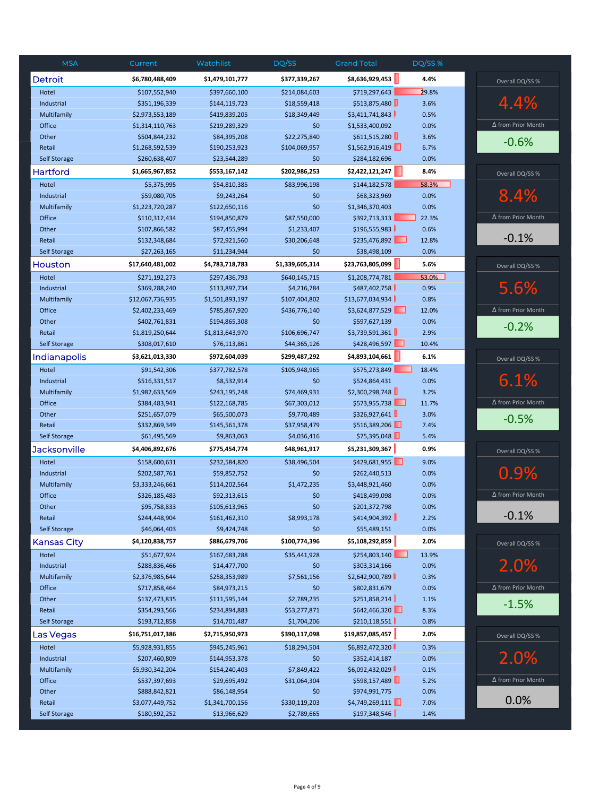| <b>MSA</b>          | Current          | Watchlist       | DQ/SS           | <b>Grand Total</b>   | DQ/SS % |                           |
|---------------------|------------------|-----------------|-----------------|----------------------|---------|---------------------------|
| <b>Detroit</b>      | \$6,780,488,409  | \$1,479,101,777 | \$377,339,267   | \$8,636,929,453      | 4.4%    | Overall DQ/SS %           |
| Hotel               | \$107,552,940    | \$397,660,100   | \$214,084,603   | \$719,297,643        | 29.8%   |                           |
| Industrial          | \$351,196,339    | \$144,119,723   | \$18,559,418    | \$513,875,480        | 3.6%    | 4.4%                      |
| Multifamily         | \$2,973,553,189  | \$419,839,205   | \$18,349,449    | \$3,411,741,843      | 0.5%    |                           |
| Office              | \$1,314,110,763  | \$219,289,329   | \$0             | \$1,533,400,092      | 0.0%    | ∆ from Prior Month        |
| Other               | \$504,844,232    | \$84,395,208    | \$22,275,840    | \$611,515,280        | 3.6%    | $-0.6%$                   |
| Retail              | \$1,268,592,539  | \$190,253,923   | \$104,069,957   | \$1,562,916,419      | 6.7%    |                           |
| <b>Self Storage</b> | \$260,638,407    | \$23,544,289    | \$0             | \$284,182,696        | 0.0%    |                           |
| Hartford            | \$1,665,967,852  | \$553,167,142   | \$202,986,253   | \$2,422,121,247      | 8.4%    | Overall DQ/SS %           |
| Hotel               | \$5,375,995      | \$54,810,385    | \$83,996,198    | \$144,182,578        | 58.3%   |                           |
| Industrial          | \$59,080,705     | \$9,243,264     | \$0             | \$68,323,969         | 0.0%    | 8.4%                      |
| Multifamily         | \$1,223,720,287  | \$122,650,116   | \$0             | \$1,346,370,403      | 0.0%    |                           |
| Office              | \$110,312,434    | \$194,850,879   | \$87,550,000    | \$392,713,313        | 22.3%   | $\Delta$ from Prior Month |
| Other               | \$107,866,582    | \$87,455,994    | \$1,233,407     | \$196,555,983        | 0.6%    |                           |
| Retail              | \$132,348,684    | \$72,921,560    | \$30,206,648    | \$235,476,892        | 12.8%   | $-0.1%$                   |
| <b>Self Storage</b> | \$27,263,165     | \$11,234,944    | \$0             | \$38,498,109         | 0.0%    |                           |
| Houston             | \$17,640,481,002 | \$4,783,718,783 | \$1,339,605,314 | \$23,763,805,099     | 5.6%    | Overall DQ/SS %           |
| Hotel               | \$271,192,273    | \$297,436,793   | \$640,145,715   | \$1,208,774,781      | 53.0%   |                           |
| Industrial          | \$369,288,240    | \$113,897,734   | \$4,216,784     | \$487,402,758        | 0.9%    | 5.6%                      |
| Multifamily         | \$12,067,736,935 | \$1,501,893,197 | \$107,404,802   | \$13,677,034,934     | 0.8%    |                           |
| Office              | \$2,402,233,469  | \$785,867,920   | \$436,776,140   | \$3,624,877,529<br>ш | 12.0%   | ∆ from Prior Month        |
| Other               | \$402,761,831    | \$194,865,308   | \$0             | \$597,627,139        | 0.0%    | $-0.2%$                   |
| Retail              | \$1,819,250,644  | \$1,813,643,970 | \$106,696,747   | \$3,739,591,361      | 2.9%    |                           |
| <b>Self Storage</b> | \$308,017,610    | \$76,113,861    | \$44,365,126    | \$428,496,597        | 10.4%   |                           |
| Indianapolis        | \$3,621,013,330  | \$972,604,039   | \$299,487,292   | \$4,893,104,661      | 6.1%    | Overall DQ/SS %           |
| Hotel               | \$91,542,306     | \$377,782,578   | \$105,948,965   | \$575,273,849        | 18.4%   |                           |
| Industrial          | \$516,331,517    | \$8,532,914     | \$0             | \$524,864,431        | 0.0%    | 6.1%                      |
| Multifamily         | \$1,982,633,569  | \$243,195,248   | \$74,469,931    | \$2,300,298,748      | 3.2%    |                           |
| Office              | \$384,483,941    | \$122,168,785   | \$67,303,012    | \$573,955,738        | 11.7%   | ∆ from Prior Month        |
| Other               | \$251,657,079    | \$65,500,073    | \$9,770,489     | \$326,927,641        | 3.0%    | $-0.5%$                   |
| Retail              | \$332,869,349    | \$145,561,378   | \$37,958,479    | \$516,389,206        | 7.4%    |                           |
| <b>Self Storage</b> | \$61,495,569     | \$9,863,063     | \$4,036,416     | \$75,395,048         | 5.4%    |                           |
| <b>Jacksonville</b> | \$4,406,892,676  | \$775,454,774   | \$48,961,917    | \$5,231,309,367      | 0.9%    | Overall DQ/SS %           |
| Hotel               | \$158,600,631    | \$232,584,820   | \$38,496,504    | \$429,681,955        | 9.0%    |                           |
| Industrial          | \$202,587,761    | \$59,852,752    | \$0             | \$262,440,513        | 0.0%    | 0.9%                      |
| Multifamily         | \$3,333,246,661  | \$114,202,564   | \$1,472,235     | \$3,448,921,460      | 0.0%    |                           |
| Office              | \$326,185,483    | \$92,313,615    | \$0             | \$418,499,098        | 0.0%    | $\Delta$ from Prior Month |
| Other               | \$95,758,833     | \$105,613,965   | \$0             | \$201,372,798        | 0.0%    |                           |
| Retail              | \$244,448,904    | \$161,462,310   | \$8,993,178     | \$414,904,392        | 2.2%    | $-0.1%$                   |
| Self Storage        | \$46,064,403     | \$9,424,748     | \$0             | \$55,489,151         | 0.0%    |                           |
| <b>Kansas City</b>  | \$4,120,838,757  | \$886,679,706   | \$100,774,396   | \$5,108,292,859      | 2.0%    | Overall DQ/SS %           |
| Hotel               | \$51,677,924     | \$167,683,288   | \$35,441,928    | \$254,803,140        | 13.9%   |                           |
| Industrial          | \$288,836,466    | \$14,477,700    | \$0             | \$303,314,166        | 0.0%    | 2.0%                      |
| Multifamily         | \$2,376,985,644  | \$258,353,989   | \$7,561,156     | \$2,642,900,789      | 0.3%    |                           |
| Office              | \$717,858,464    | \$84,973,215    | \$0             | \$802,831,679        | 0.0%    | $\Delta$ from Prior Month |
| Other               | \$137,473,835    | \$111,595,144   | \$2,789,235     | \$251,858,214        | 1.1%    | $-1.5%$                   |
| Retail              | \$354,293,566    | \$234,894,883   | \$53,277,871    | \$642,466,320        | 8.3%    |                           |
| <b>Self Storage</b> | \$193,712,858    | \$14,701,487    | \$1,704,206     | \$210,118,551        | 0.8%    |                           |
| Las Vegas           | \$16,751,017,386 | \$2,715,950,973 | \$390,117,098   | \$19,857,085,457     | 2.0%    | Overall DQ/SS %           |
| Hotel               | \$5,928,931,855  | \$945,245,961   | \$18,294,504    | \$6,892,472,320      | 0.3%    |                           |
| Industrial          | \$207,460,809    | \$144,953,378   | \$0             | \$352,414,187        | 0.0%    | 2.0%                      |
| Multifamily         | \$5,930,342,204  | \$154,240,403   | \$7,849,422     | \$6,092,432,029      | 0.1%    |                           |
| Office              | \$537,397,693    | \$29,695,492    | \$31,064,304    | \$598,157,489        | 5.2%    | $\Delta$ from Prior Month |
| Other               | \$888,842,821    | \$86,148,954    | \$0             | \$974,991,775        | 0.0%    |                           |
| Retail              | \$3,077,449,752  | \$1,341,700,156 | \$330,119,203   | \$4,749,269,111      | 7.0%    | 0.0%                      |
| <b>Self Storage</b> | \$180,592,252    | \$13,966,629    | \$2,789,665     | \$197,348,546        | 1.4%    |                           |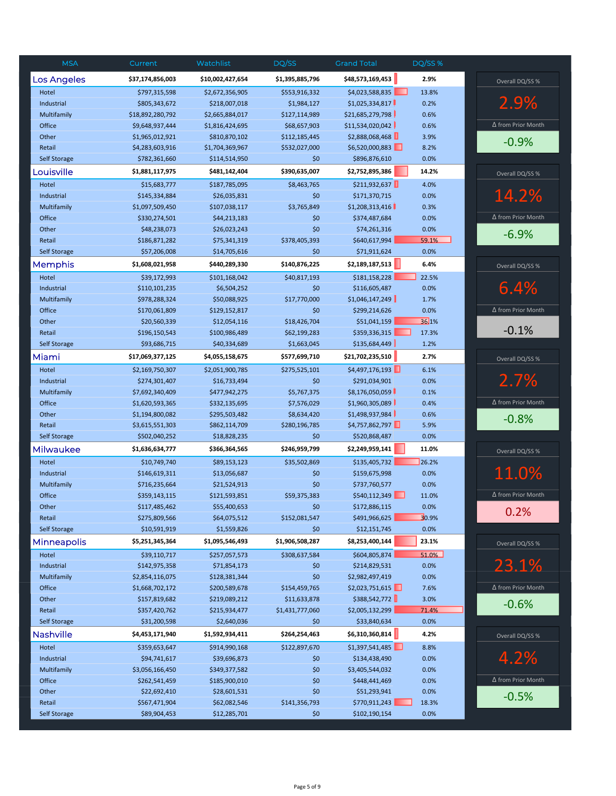| <b>MSA</b>          | Current          | Watchlist        | DQ/SS           | <b>Grand Total</b> | DQ/SS % |                           |
|---------------------|------------------|------------------|-----------------|--------------------|---------|---------------------------|
| <b>Los Angeles</b>  | \$37,174,856,003 | \$10,002,427,654 | \$1,395,885,796 | \$48,573,169,453   | 2.9%    | Overall DQ/SS %           |
| Hotel               | \$797,315,598    | \$2,672,356,905  | \$553,916,332   | \$4,023,588,835    | 13.8%   |                           |
| Industrial          | \$805,343,672    | \$218,007,018    | \$1,984,127     | \$1,025,334,817    | 0.2%    | 2.9%                      |
| Multifamily         | \$18,892,280,792 | \$2,665,884,017  | \$127,114,989   | \$21,685,279,798   | 0.6%    |                           |
| Office              | \$9,648,937,444  | \$1,816,424,695  | \$68,657,903    | \$11,534,020,042   | 0.6%    | Δ from Prior Month        |
| Other               | \$1,965,012,921  | \$810,870,102    | \$112,185,445   | \$2,888,068,468    | 3.9%    | $-0.9%$                   |
| Retail              | \$4,283,603,916  | \$1,704,369,967  | \$532,027,000   | \$6,520,000,883    | 8.2%    |                           |
| Self Storage        | \$782,361,660    | \$114,514,950    | \$0             | \$896,876,610      | 0.0%    |                           |
| Louisville          | \$1,881,117,975  | \$481,142,404    | \$390,635,007   | \$2,752,895,386    | 14.2%   | Overall DQ/SS %           |
| Hotel               | \$15,683,777     | \$187,785,095    | \$8,463,765     | \$211,932,637      | 4.0%    |                           |
| Industrial          | \$145,334,884    | \$26,035,831     | \$0             | \$171,370,715      | 0.0%    | 14.2%                     |
| Multifamily         | \$1,097,509,450  | \$107,038,117    | \$3,765,849     | \$1,208,313,416    | 0.3%    |                           |
| Office              | \$330,274,501    | \$44,213,183     | \$0             | \$374,487,684      | 0.0%    | Δ from Prior Month        |
| Other               | \$48,238,073     | \$26,023,243     | \$0             | \$74,261,316       | 0.0%    | $-6.9%$                   |
| Retail              | \$186,871,282    | \$75,341,319     | \$378,405,393   | \$640,617,994      | 59.1%   |                           |
| <b>Self Storage</b> | \$57,206,008     | \$14,705,616     | \$0             | \$71,911,624       | 0.0%    |                           |
| Memphis             | \$1,608,021,958  | \$440,289,330    | \$140,876,225   | \$2,189,187,513    | 6.4%    | Overall DQ/SS %           |
| Hotel               | \$39,172,993     | \$101,168,042    | \$40,817,193    | \$181,158,228      | 22.5%   |                           |
| Industrial          | \$110,101,235    | \$6,504,252      | \$0             | \$116,605,487      | 0.0%    | 6.4%                      |
| Multifamily         | \$978,288,324    | \$50,088,925     | \$17,770,000    | \$1,046,147,249    | 1.7%    |                           |
| Office              | \$170,061,809    | \$129,152,817    | \$0             | \$299,214,626      | 0.0%    | ∆ from Prior Month        |
| Other               | \$20,560,339     | \$12,054,116     | \$18,426,704    | \$51,041,159       | 36.1%   |                           |
| Retail              | \$196,150,543    | \$100,986,489    | \$62,199,283    | \$359,336,315      | 17.3%   | $-0.1%$                   |
| Self Storage        | \$93,686,715     | \$40,334,689     | \$1,663,045     | \$135,684,449      | 1.2%    |                           |
| Miami               | \$17,069,377,125 | \$4,055,158,675  | \$577,699,710   | \$21,702,235,510   | 2.7%    | Overall DQ/SS %           |
| Hotel               | \$2,169,750,307  | \$2,051,900,785  | \$275,525,101   | \$4,497,176,193    | 6.1%    |                           |
| Industrial          | \$274,301,407    | \$16,733,494     | \$0             | \$291,034,901      | 0.0%    | 2.7%                      |
| Multifamily         | \$7,692,340,409  | \$477,942,275    | \$5,767,375     | \$8,176,050,059    | 0.1%    |                           |
| Office              | \$1,620,593,365  | \$332,135,695    | \$7,576,029     | \$1,960,305,089    | 0.4%    | ∆ from Prior Month        |
| Other               | \$1,194,800,082  | \$295,503,482    | \$8,634,420     | \$1,498,937,984    | 0.6%    |                           |
| Retail              | \$3,615,551,303  | \$862,114,709    | \$280,196,785   | \$4,757,862,797    | 5.9%    | $-0.8%$                   |
| <b>Self Storage</b> | \$502,040,252    | \$18,828,235     | \$0             | \$520,868,487      | 0.0%    |                           |
| Milwaukee           | \$1,636,634,777  | \$366,364,565    | \$246,959,799   | \$2,249,959,141    | 11.0%   | Overall DQ/SS %           |
| Hotel               | \$10,749,740     | \$89,153,123     | \$35,502,869    | \$135,405,732      | 26.2%   |                           |
| Industrial          | \$146,619,311    | \$13,056,687     | \$0             | \$159,675,998      | 0.0%    | 11.0%                     |
| Multifamily         | \$716,235,664    | \$21,524,913     | \$0             | \$737,760,577      | 0.0%    |                           |
| Office              | \$359,143,115    | \$121,593,851    | \$59,375,383    | \$540,112,349      | 11.0%   | Δ from Prior Month        |
| Other               | \$117,485,462    | \$55,400,653     | \$0             | \$172,886,115      | 0.0%    |                           |
| Retail              | \$275,809,566    | \$64,075,512     | \$152,081,547   | \$491,966,625      | 30.9%   | 0.2%                      |
| Self Storage        | \$10,591,919     | \$1,559,826      | \$0             | \$12,151,745       | 0.0%    |                           |
| <b>Minneapolis</b>  | \$5,251,345,364  | \$1,095,546,493  | \$1,906,508,287 | \$8,253,400,144    | 23.1%   | Overall DQ/SS %           |
| Hotel               | \$39,110,717     | \$257,057,573    | \$308,637,584   | \$604,805,874      | 51.0%   |                           |
| Industrial          | \$142,975,358    | \$71,854,173     | \$0             | \$214,829,531      | 0.0%    | 23.1%                     |
| Multifamily         | \$2,854,116,075  | \$128,381,344    | \$0             | \$2,982,497,419    | 0.0%    |                           |
| Office              | \$1,668,702,172  | \$200,589,678    | \$154,459,765   | \$2,023,751,615    | 7.6%    | ∆ from Prior Month        |
| Other               | \$157,819,682    | \$219,089,212    | \$11,633,878    | \$388,542,772      | 3.0%    | $-0.6%$                   |
| Retail              | \$357,420,762    | \$215,934,477    | \$1,431,777,060 | \$2,005,132,299    | 71.4%   |                           |
| Self Storage        | \$31,200,598     | \$2,640,036      | \$0             | \$33,840,634       | 0.0%    |                           |
| <b>Nashville</b>    | \$4,453,171,940  | \$1,592,934,411  | \$264,254,463   | \$6,310,360,814    | 4.2%    | Overall DQ/SS %           |
| Hotel               | \$359,653,647    | \$914,990,168    | \$122,897,670   | \$1,397,541,485    | 8.8%    |                           |
| Industrial          | \$94,741,617     | \$39,696,873     | \$0             | \$134,438,490      | 0.0%    | 4.2%                      |
| Multifamily         | \$3,056,166,450  | \$349,377,582    | \$0             | \$3,405,544,032    | 0.0%    |                           |
| Office              | \$262,541,459    | \$185,900,010    | \$0             | \$448,441,469      | 0.0%    | $\Delta$ from Prior Month |
| Other               | \$22,692,410     | \$28,601,531     | \$0             | \$51,293,941       | 0.0%    |                           |
| Retail              | \$567,471,904    | \$62,082,546     | \$141,356,793   | \$770,911,243      | 18.3%   | $-0.5%$                   |
| Self Storage        | \$89,904,453     | \$12,285,701     | \$0             | \$102,190,154      | 0.0%    |                           |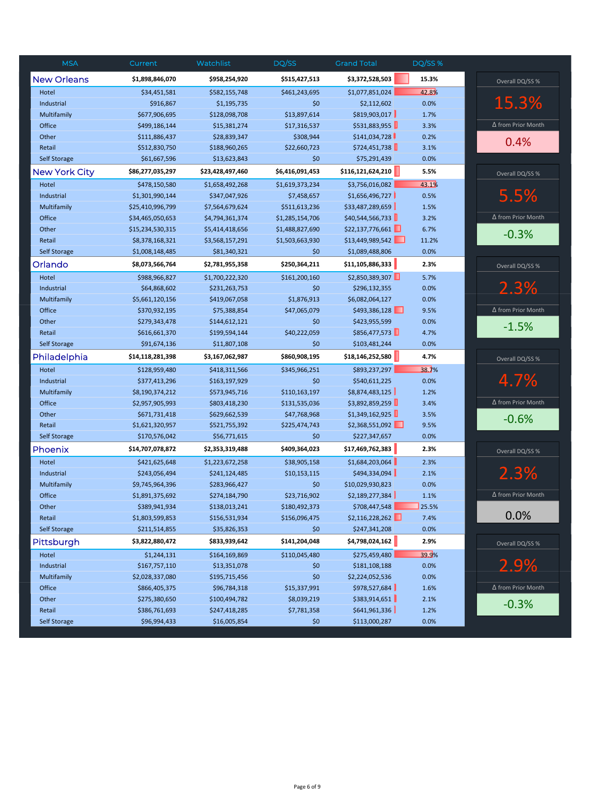| <b>MSA</b>           | Current          | Watchlist        | DQ/SS           | <b>Grand Total</b> | DQ/SS % |                           |
|----------------------|------------------|------------------|-----------------|--------------------|---------|---------------------------|
| <b>New Orleans</b>   | \$1,898,846,070  | \$958,254,920    | \$515,427,513   | \$3,372,528,503    | 15.3%   | Overall DQ/SS %           |
| Hotel                | \$34,451,581     | \$582,155,748    | \$461,243,695   | \$1,077,851,024    | 42.8%   |                           |
| Industrial           | \$916,867        | \$1,195,735      | \$0             | \$2,112,602        | 0.0%    | 15.3%                     |
| Multifamily          | \$677,906,695    | \$128,098,708    | \$13,897,614    | \$819,903,017      | 1.7%    |                           |
| Office               | \$499,186,144    | \$15,381,274     | \$17,316,537    | \$531,883,955      | 3.3%    | ∆ from Prior Month        |
| Other                | \$111,886,437    | \$28,839,347     | \$308,944       | \$141,034,728      | 0.2%    | 0.4%                      |
| Retail               | \$512,830,750    | \$188,960,265    | \$22,660,723    | \$724,451,738      | 3.1%    |                           |
| Self Storage         | \$61,667,596     | \$13,623,843     | \$0             | \$75,291,439       | 0.0%    |                           |
| <b>New York City</b> | \$86,277,035,297 | \$23,428,497,460 | \$6,416,091,453 | \$116,121,624,210  | 5.5%    | Overall DQ/SS %           |
| Hotel                | \$478,150,580    | \$1,658,492,268  | \$1,619,373,234 | \$3,756,016,082    | 43.1%   |                           |
| Industrial           | \$1,301,990,144  | \$347,047,926    | \$7,458,657     | \$1,656,496,727    | 0.5%    | 5.5%                      |
| Multifamily          | \$25,410,996,799 | \$7,564,679,624  | \$511,613,236   | \$33,487,289,659   | 1.5%    |                           |
| Office               | \$34,465,050,653 | \$4,794,361,374  | \$1,285,154,706 | \$40,544,566,733   | 3.2%    | $\Delta$ from Prior Month |
| Other                | \$15,234,530,315 | \$5,414,418,656  | \$1,488,827,690 | \$22,137,776,661   | 6.7%    | $-0.3%$                   |
| Retail               | \$8,378,168,321  | \$3,568,157,291  | \$1,503,663,930 | \$13,449,989,542   | 11.2%   |                           |
| <b>Self Storage</b>  | \$1,008,148,485  | \$81,340,321     | \$0             | \$1,089,488,806    | 0.0%    |                           |
| Orlando              | \$8,073,566,764  | \$2,781,955,358  | \$250,364,211   | \$11,105,886,333   | 2.3%    | Overall DQ/SS %           |
| Hotel                | \$988,966,827    | \$1,700,222,320  | \$161,200,160   | \$2,850,389,307    | 5.7%    |                           |
| Industrial           | \$64,868,602     | \$231,263,753    | \$0             | \$296,132,355      | 0.0%    | 2.3%                      |
| Multifamily          | \$5,661,120,156  | \$419,067,058    | \$1,876,913     | \$6,082,064,127    | 0.0%    |                           |
| Office               | \$370,932,195    | \$75,388,854     | \$47,065,079    | \$493,386,128      | 9.5%    | ∆ from Prior Month        |
| Other                | \$279,343,478    | \$144,612,121    | \$0             | \$423,955,599      | 0.0%    | $-1.5%$                   |
| Retail               | \$616,661,370    | \$199,594,144    | \$40,222,059    | \$856,477,573      | 4.7%    |                           |
| <b>Self Storage</b>  | \$91,674,136     | \$11,807,108     | \$0             | \$103,481,244      | 0.0%    |                           |
| Philadelphia         | \$14,118,281,398 | \$3,167,062,987  | \$860,908,195   | \$18,146,252,580   | 4.7%    | Overall DQ/SS %           |
| Hotel                | \$128,959,480    | \$418,311,566    | \$345,966,251   | \$893,237,297      | 38.7%   |                           |
| Industrial           | \$377,413,296    | \$163,197,929    | \$0             | \$540,611,225      | 0.0%    | 4.7%                      |
| Multifamily          | \$8,190,374,212  | \$573,945,716    | \$110,163,197   | \$8,874,483,125    | 1.2%    |                           |
| Office               | \$2,957,905,993  | \$803,418,230    | \$131,535,036   | \$3,892,859,259    | 3.4%    | ∆ from Prior Month        |
| Other                | \$671,731,418    | \$629,662,539    | \$47,768,968    | \$1,349,162,925    | 3.5%    | $-0.6%$                   |
| Retail               | \$1,621,320,957  | \$521,755,392    | \$225,474,743   | \$2,368,551,092    | 9.5%    |                           |
| <b>Self Storage</b>  | \$170,576,042    | \$56,771,615     | \$0             | \$227,347,657      | 0.0%    |                           |
| Phoenix              | \$14,707,078,872 | \$2,353,319,488  | \$409,364,023   | \$17,469,762,383   | 2.3%    | Overall DQ/SS %           |
| Hotel                | \$421,625,648    | \$1,223,672,258  | \$38,905,158    | \$1,684,203,064    | 2.3%    |                           |
| Industrial           | \$243,056,494    | \$241,124,485    | \$10,153,115    | \$494,334,094      | 2.1%    | 2.3%                      |
| Multifamily          | \$9,745,964,396  | \$283,966,427    | \$0             | \$10,029,930,823   | 0.0%    |                           |
| Office               | \$1,891,375,692  | \$274,184,790    | \$23,716,902    | \$2,189,277,384    | 1.1%    | Δ from Prior Month        |
| Other                | \$389,941,934    | \$138,013,241    | \$180,492,373   | \$708,447,548      | 25.5%   |                           |
| Retail               | \$1,803,599,853  | \$156,531,934    | \$156,096,475   | \$2,116,228,262    | 7.4%    | 0.0%                      |
| Self Storage         | \$211,514,855    | \$35,826,353     | \$0             | \$247,341,208      | 0.0%    |                           |
| Pittsburgh           | \$3,822,880,472  | \$833,939,642    | \$141,204,048   | \$4,798,024,162    | 2.9%    | Overall DQ/SS %           |
| Hotel                | \$1,244,131      | \$164,169,869    | \$110,045,480   | \$275,459,480      | 39.9%   |                           |
| Industrial           | \$167,757,110    | \$13,351,078     | \$0             | \$181,108,188      | 0.0%    | 2.9%                      |
| Multifamily          | \$2,028,337,080  | \$195,715,456    | \$0             | \$2,224,052,536    | 0.0%    |                           |
| Office               | \$866,405,375    | \$96,784,318     | \$15,337,991    | \$978,527,684      | 1.6%    | ∆ from Prior Month        |
| Other                | \$275,380,650    | \$100,494,782    | \$8,039,219     | \$383,914,651      | 2.1%    | $-0.3%$                   |
| Retail               | \$386,761,693    | \$247,418,285    | \$7,781,358     | \$641,961,336      | 1.2%    |                           |
| Self Storage         | \$96,994,433     | \$16,005,854     | \$0             | \$113,000,287      | 0.0%    |                           |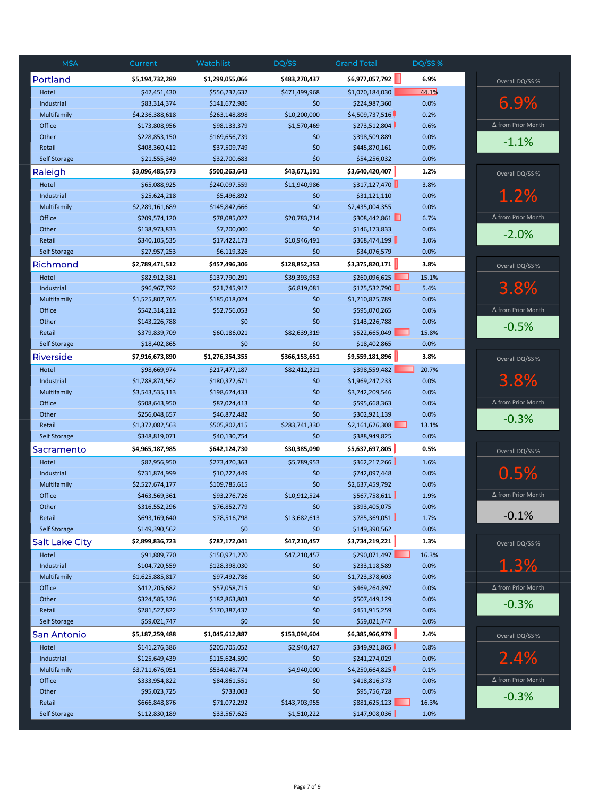| Portland<br>\$6,977,057,792<br>6.9%<br>\$5,194,732,289<br>\$1,299,055,066<br>\$483,270,437<br>Overall DQ/SS %<br>44.1%<br>\$42,451,430<br>\$556,232,632<br>\$471,499,968<br>\$1,070,184,030<br>Hotel<br>6.9%<br>Industrial<br>\$83,314,374<br>\$141,672,986<br>\$0<br>\$224,987,360<br>0.0%<br>\$10,200,000<br>\$4,509,737,516<br>Multifamily<br>\$4,236,388,618<br>\$263,148,898<br>0.2%<br>∆ from Prior Month<br>\$273,512,804<br>Office<br>\$173,808,956<br>\$98,133,379<br>\$1,570,469<br>0.6%<br>Other<br>\$228,853,150<br>\$169,656,739<br>\$0<br>\$398,509,889<br>0.0%<br>$-1.1%$<br>0.0%<br>Retail<br>\$408,360,412<br>\$37,509,749<br>\$0<br>\$445,870,161<br>Self Storage<br>\$21,555,349<br>\$0<br>\$54,256,032<br>0.0%<br>\$32,700,683<br>\$43,671,191<br>1.2%<br>Raleigh<br>\$3,096,485,573<br>\$500,263,643<br>\$3,640,420,407<br>Overall DQ/SS %<br>\$317,127,470<br>3.8%<br>Hotel<br>\$65,088,925<br>\$240,097,559<br>\$11,940,986<br>1.2%<br>0.0%<br>Industrial<br>\$25,624,218<br>\$5,496,892<br>\$0<br>\$31,121,110<br>Multifamily<br>\$2,435,004,355<br>0.0%<br>\$2,289,161,689<br>\$145,842,666<br>\$0<br>\$308,442,861<br>$\Delta$ from Prior Month<br>Office<br>\$209,574,120<br>\$78,085,027<br>\$20,783,714<br>6.7%<br>Other<br>\$138,973,833<br>\$7,200,000<br>\$0<br>\$146,173,833<br>0.0%<br>$-2.0%$<br>\$368,474,199<br>\$10,946,491<br>Retail<br>\$340,105,535<br>\$17,422,173<br>3.0%<br>0.0%<br><b>Self Storage</b><br>\$27,957,253<br>\$6,119,326<br>\$0<br>\$34,076,579<br>Richmond<br>\$3,375,820,171<br>3.8%<br>\$2,789,471,512<br>\$457,496,306<br>\$128,852,353<br>Overall DQ/SS %<br>\$260,096,625<br>Hotel<br>\$82,912,381<br>\$137,790,291<br>\$39,393,953<br>15.1%<br>3.8%<br>\$125,532,790<br>5.4%<br>Industrial<br>\$96,967,792<br>\$21,745,917<br>\$6,819,081<br>\$1,710,825,789<br>0.0%<br>Multifamily<br>\$1,525,807,765<br>\$185,018,024<br>\$0<br>$\Delta$ from Prior Month<br>Office<br>\$542,314,212<br>\$52,756,053<br>\$0<br>\$595,070,265<br>0.0%<br>Other<br>\$0<br>\$143,226,788<br>0.0%<br>\$143,226,788<br>\$0<br>$-0.5%$<br>\$60,186,021<br>\$522,665,049<br>Retail<br>\$379,839,709<br>\$82,639,319<br>15.8%<br>\$18,402,865<br>\$0<br>\$0<br>0.0%<br>Self Storage<br>\$18,402,865<br>\$9,559,181,896<br>\$7,916,673,890<br>\$1,276,354,355<br>\$366,153,651<br>3.8%<br>Riverside<br>Overall DQ/SS %<br>\$98,669,974<br>\$82,412,321<br>\$398,559,482<br>20.7%<br>Hotel<br>\$217,477,187<br>3.8%<br>Industrial<br>\$1,788,874,562<br>\$180,372,671<br>\$1,969,247,233<br>0.0%<br>\$0<br>0.0%<br>Multifamily<br>\$3,543,535,113<br>\$198,674,433<br>\$0<br>\$3,742,209,546<br>∆ from Prior Month<br>Office<br>0.0%<br>\$508,643,950<br>\$87,024,413<br>\$0<br>\$595,668,363<br>0.0%<br>Other<br>\$256,048,657<br>\$46,872,482<br>\$0<br>\$302,921,139<br>$-0.3%$<br>\$2,161,626,308<br>Retail<br>\$1,372,082,563<br>\$505,802,415<br>\$283,741,330<br>13.1%<br><b>Self Storage</b><br>\$348,819,071<br>\$40,130,754<br>\$0<br>\$388,949,825<br>0.0%<br>\$5,637,697,805<br>0.5%<br>\$4,965,187,985<br>\$642,124,730<br>\$30,385,090<br>Sacramento<br>Overall DQ/SS %<br>Hotel<br>\$82,956,950<br>\$273,470,363<br>\$5,789,953<br>\$362,217,266<br>1.6%<br>0.5%<br>0.0%<br>Industrial<br>\$731,874,999<br>\$10,222,449<br>\$742,097,448<br>\$0<br>Multifamily<br>\$2,527,674,177<br>\$109,785,615<br>\$2,637,459,792<br>0.0%<br>\$0<br>\$567,758,611<br>$\Delta$ from Prior Month<br>Office<br>\$463,569,361<br>\$93,276,726<br>\$10,912,524<br>1.9%<br>\$0<br>Other<br>\$316,552,296<br>\$76,852,779<br>\$393,405,075<br>0.0%<br>$-0.1%$<br>\$693,169,640<br>\$78,516,798<br>\$13,682,613<br>\$785,369,051<br>Retail<br>1.7%<br>Self Storage<br>\$149,390,562<br>\$149,390,562<br>0.0%<br>\$0<br>\$0<br><b>Salt Lake City</b><br>\$47,210,457<br>\$3,734,219,221<br>1.3%<br>\$2,899,836,723<br>\$787,172,041<br>Overall DQ/SS %<br>Hotel<br>\$290,071,497<br>16.3%<br>\$91,889,770<br>\$150,971,270<br>\$47,210,457<br>1.3%<br>0.0%<br>Industrial<br>\$104,720,559<br>\$128,398,030<br>\$0<br>\$233,118,589<br>0.0%<br>Multifamily<br>\$1,625,885,817<br>\$97,492,786<br>\$0<br>\$1,723,378,603<br>$\Delta$ from Prior Month<br>0.0%<br>Office<br>\$412,205,682<br>\$57,058,715<br>\$469,264,397<br>\$0<br>Other<br>\$324,585,326<br>\$0<br>0.0%<br>\$182,863,803<br>\$507,449,129<br>$-0.3%$<br>0.0%<br>Retail<br>\$281,527,822<br>\$170,387,437<br>\$0<br>\$451,915,259<br>0.0%<br>Self Storage<br>\$59,021,747<br>\$0<br>\$0<br>\$59,021,747<br>\$1,045,612,887<br>\$153,094,604<br>\$6,385,966,979<br>2.4%<br>San Antonio<br>\$5,187,259,488<br>Overall DQ/SS %<br>\$349,921,865<br>Hotel<br>\$141,276,386<br>\$205,705,052<br>\$2,940,427<br>0.8%<br>2.4%<br>Industrial<br>\$125,649,439<br>\$115,624,590<br>\$0<br>\$241,274,029<br>0.0%<br>\$4,250,664,825<br>\$3,711,676,051<br>\$4,940,000<br>0.1%<br>Multifamily<br>\$534,048,774<br>∆ from Prior Month<br>0.0%<br>Office<br>\$333,954,822<br>\$84,861,551<br>\$0<br>\$418,816,373<br>\$733,003<br>\$95,756,728<br>0.0%<br>Other<br>\$95,023,725<br>\$0<br>$-0.3%$<br>\$666,848,876<br>\$71,072,292<br>\$143,703,955<br>\$881,625,123<br>16.3%<br>Retail<br><b>Self Storage</b><br>\$112,830,189<br>\$33,567,625<br>\$1,510,222<br>\$147,908,036<br>1.0% | <b>MSA</b> | Current | Watchlist | DQ/SS | <b>Grand Total</b> | DQ/SS % |  |
|------------------------------------------------------------------------------------------------------------------------------------------------------------------------------------------------------------------------------------------------------------------------------------------------------------------------------------------------------------------------------------------------------------------------------------------------------------------------------------------------------------------------------------------------------------------------------------------------------------------------------------------------------------------------------------------------------------------------------------------------------------------------------------------------------------------------------------------------------------------------------------------------------------------------------------------------------------------------------------------------------------------------------------------------------------------------------------------------------------------------------------------------------------------------------------------------------------------------------------------------------------------------------------------------------------------------------------------------------------------------------------------------------------------------------------------------------------------------------------------------------------------------------------------------------------------------------------------------------------------------------------------------------------------------------------------------------------------------------------------------------------------------------------------------------------------------------------------------------------------------------------------------------------------------------------------------------------------------------------------------------------------------------------------------------------------------------------------------------------------------------------------------------------------------------------------------------------------------------------------------------------------------------------------------------------------------------------------------------------------------------------------------------------------------------------------------------------------------------------------------------------------------------------------------------------------------------------------------------------------------------------------------------------------------------------------------------------------------------------------------------------------------------------------------------------------------------------------------------------------------------------------------------------------------------------------------------------------------------------------------------------------------------------------------------------------------------------------------------------------------------------------------------------------------------------------------------------------------------------------------------------------------------------------------------------------------------------------------------------------------------------------------------------------------------------------------------------------------------------------------------------------------------------------------------------------------------------------------------------------------------------------------------------------------------------------------------------------------------------------------------------------------------------------------------------------------------------------------------------------------------------------------------------------------------------------------------------------------------------------------------------------------------------------------------------------------------------------------------------------------------------------------------------------------------------------------------------------------------------------------------------------------------------------------------------------------------------------------------------------------------------------------------------------------------------------------------------------------------------------------------------------------------------------------------------------------------------------------------------------------------------------------------------------------------------------------------------------------------------------------------------------------------------------------------------------------------------------------------------------------------------------------------------------------------------------------------------------------------------------------------------------------------------------------------------------------------------------------------------------------------------------------------------------------------------------------------------------------------------------------------------------------------|------------|---------|-----------|-------|--------------------|---------|--|
|                                                                                                                                                                                                                                                                                                                                                                                                                                                                                                                                                                                                                                                                                                                                                                                                                                                                                                                                                                                                                                                                                                                                                                                                                                                                                                                                                                                                                                                                                                                                                                                                                                                                                                                                                                                                                                                                                                                                                                                                                                                                                                                                                                                                                                                                                                                                                                                                                                                                                                                                                                                                                                                                                                                                                                                                                                                                                                                                                                                                                                                                                                                                                                                                                                                                                                                                                                                                                                                                                                                                                                                                                                                                                                                                                                                                                                                                                                                                                                                                                                                                                                                                                                                                                                                                                                                                                                                                                                                                                                                                                                                                                                                                                                                                                                                                                                                                                                                                                                                                                                                                                                                                                                                                                                                                              |            |         |           |       |                    |         |  |
|                                                                                                                                                                                                                                                                                                                                                                                                                                                                                                                                                                                                                                                                                                                                                                                                                                                                                                                                                                                                                                                                                                                                                                                                                                                                                                                                                                                                                                                                                                                                                                                                                                                                                                                                                                                                                                                                                                                                                                                                                                                                                                                                                                                                                                                                                                                                                                                                                                                                                                                                                                                                                                                                                                                                                                                                                                                                                                                                                                                                                                                                                                                                                                                                                                                                                                                                                                                                                                                                                                                                                                                                                                                                                                                                                                                                                                                                                                                                                                                                                                                                                                                                                                                                                                                                                                                                                                                                                                                                                                                                                                                                                                                                                                                                                                                                                                                                                                                                                                                                                                                                                                                                                                                                                                                                              |            |         |           |       |                    |         |  |
|                                                                                                                                                                                                                                                                                                                                                                                                                                                                                                                                                                                                                                                                                                                                                                                                                                                                                                                                                                                                                                                                                                                                                                                                                                                                                                                                                                                                                                                                                                                                                                                                                                                                                                                                                                                                                                                                                                                                                                                                                                                                                                                                                                                                                                                                                                                                                                                                                                                                                                                                                                                                                                                                                                                                                                                                                                                                                                                                                                                                                                                                                                                                                                                                                                                                                                                                                                                                                                                                                                                                                                                                                                                                                                                                                                                                                                                                                                                                                                                                                                                                                                                                                                                                                                                                                                                                                                                                                                                                                                                                                                                                                                                                                                                                                                                                                                                                                                                                                                                                                                                                                                                                                                                                                                                                              |            |         |           |       |                    |         |  |
|                                                                                                                                                                                                                                                                                                                                                                                                                                                                                                                                                                                                                                                                                                                                                                                                                                                                                                                                                                                                                                                                                                                                                                                                                                                                                                                                                                                                                                                                                                                                                                                                                                                                                                                                                                                                                                                                                                                                                                                                                                                                                                                                                                                                                                                                                                                                                                                                                                                                                                                                                                                                                                                                                                                                                                                                                                                                                                                                                                                                                                                                                                                                                                                                                                                                                                                                                                                                                                                                                                                                                                                                                                                                                                                                                                                                                                                                                                                                                                                                                                                                                                                                                                                                                                                                                                                                                                                                                                                                                                                                                                                                                                                                                                                                                                                                                                                                                                                                                                                                                                                                                                                                                                                                                                                                              |            |         |           |       |                    |         |  |
|                                                                                                                                                                                                                                                                                                                                                                                                                                                                                                                                                                                                                                                                                                                                                                                                                                                                                                                                                                                                                                                                                                                                                                                                                                                                                                                                                                                                                                                                                                                                                                                                                                                                                                                                                                                                                                                                                                                                                                                                                                                                                                                                                                                                                                                                                                                                                                                                                                                                                                                                                                                                                                                                                                                                                                                                                                                                                                                                                                                                                                                                                                                                                                                                                                                                                                                                                                                                                                                                                                                                                                                                                                                                                                                                                                                                                                                                                                                                                                                                                                                                                                                                                                                                                                                                                                                                                                                                                                                                                                                                                                                                                                                                                                                                                                                                                                                                                                                                                                                                                                                                                                                                                                                                                                                                              |            |         |           |       |                    |         |  |
|                                                                                                                                                                                                                                                                                                                                                                                                                                                                                                                                                                                                                                                                                                                                                                                                                                                                                                                                                                                                                                                                                                                                                                                                                                                                                                                                                                                                                                                                                                                                                                                                                                                                                                                                                                                                                                                                                                                                                                                                                                                                                                                                                                                                                                                                                                                                                                                                                                                                                                                                                                                                                                                                                                                                                                                                                                                                                                                                                                                                                                                                                                                                                                                                                                                                                                                                                                                                                                                                                                                                                                                                                                                                                                                                                                                                                                                                                                                                                                                                                                                                                                                                                                                                                                                                                                                                                                                                                                                                                                                                                                                                                                                                                                                                                                                                                                                                                                                                                                                                                                                                                                                                                                                                                                                                              |            |         |           |       |                    |         |  |
|                                                                                                                                                                                                                                                                                                                                                                                                                                                                                                                                                                                                                                                                                                                                                                                                                                                                                                                                                                                                                                                                                                                                                                                                                                                                                                                                                                                                                                                                                                                                                                                                                                                                                                                                                                                                                                                                                                                                                                                                                                                                                                                                                                                                                                                                                                                                                                                                                                                                                                                                                                                                                                                                                                                                                                                                                                                                                                                                                                                                                                                                                                                                                                                                                                                                                                                                                                                                                                                                                                                                                                                                                                                                                                                                                                                                                                                                                                                                                                                                                                                                                                                                                                                                                                                                                                                                                                                                                                                                                                                                                                                                                                                                                                                                                                                                                                                                                                                                                                                                                                                                                                                                                                                                                                                                              |            |         |           |       |                    |         |  |
|                                                                                                                                                                                                                                                                                                                                                                                                                                                                                                                                                                                                                                                                                                                                                                                                                                                                                                                                                                                                                                                                                                                                                                                                                                                                                                                                                                                                                                                                                                                                                                                                                                                                                                                                                                                                                                                                                                                                                                                                                                                                                                                                                                                                                                                                                                                                                                                                                                                                                                                                                                                                                                                                                                                                                                                                                                                                                                                                                                                                                                                                                                                                                                                                                                                                                                                                                                                                                                                                                                                                                                                                                                                                                                                                                                                                                                                                                                                                                                                                                                                                                                                                                                                                                                                                                                                                                                                                                                                                                                                                                                                                                                                                                                                                                                                                                                                                                                                                                                                                                                                                                                                                                                                                                                                                              |            |         |           |       |                    |         |  |
|                                                                                                                                                                                                                                                                                                                                                                                                                                                                                                                                                                                                                                                                                                                                                                                                                                                                                                                                                                                                                                                                                                                                                                                                                                                                                                                                                                                                                                                                                                                                                                                                                                                                                                                                                                                                                                                                                                                                                                                                                                                                                                                                                                                                                                                                                                                                                                                                                                                                                                                                                                                                                                                                                                                                                                                                                                                                                                                                                                                                                                                                                                                                                                                                                                                                                                                                                                                                                                                                                                                                                                                                                                                                                                                                                                                                                                                                                                                                                                                                                                                                                                                                                                                                                                                                                                                                                                                                                                                                                                                                                                                                                                                                                                                                                                                                                                                                                                                                                                                                                                                                                                                                                                                                                                                                              |            |         |           |       |                    |         |  |
|                                                                                                                                                                                                                                                                                                                                                                                                                                                                                                                                                                                                                                                                                                                                                                                                                                                                                                                                                                                                                                                                                                                                                                                                                                                                                                                                                                                                                                                                                                                                                                                                                                                                                                                                                                                                                                                                                                                                                                                                                                                                                                                                                                                                                                                                                                                                                                                                                                                                                                                                                                                                                                                                                                                                                                                                                                                                                                                                                                                                                                                                                                                                                                                                                                                                                                                                                                                                                                                                                                                                                                                                                                                                                                                                                                                                                                                                                                                                                                                                                                                                                                                                                                                                                                                                                                                                                                                                                                                                                                                                                                                                                                                                                                                                                                                                                                                                                                                                                                                                                                                                                                                                                                                                                                                                              |            |         |           |       |                    |         |  |
|                                                                                                                                                                                                                                                                                                                                                                                                                                                                                                                                                                                                                                                                                                                                                                                                                                                                                                                                                                                                                                                                                                                                                                                                                                                                                                                                                                                                                                                                                                                                                                                                                                                                                                                                                                                                                                                                                                                                                                                                                                                                                                                                                                                                                                                                                                                                                                                                                                                                                                                                                                                                                                                                                                                                                                                                                                                                                                                                                                                                                                                                                                                                                                                                                                                                                                                                                                                                                                                                                                                                                                                                                                                                                                                                                                                                                                                                                                                                                                                                                                                                                                                                                                                                                                                                                                                                                                                                                                                                                                                                                                                                                                                                                                                                                                                                                                                                                                                                                                                                                                                                                                                                                                                                                                                                              |            |         |           |       |                    |         |  |
|                                                                                                                                                                                                                                                                                                                                                                                                                                                                                                                                                                                                                                                                                                                                                                                                                                                                                                                                                                                                                                                                                                                                                                                                                                                                                                                                                                                                                                                                                                                                                                                                                                                                                                                                                                                                                                                                                                                                                                                                                                                                                                                                                                                                                                                                                                                                                                                                                                                                                                                                                                                                                                                                                                                                                                                                                                                                                                                                                                                                                                                                                                                                                                                                                                                                                                                                                                                                                                                                                                                                                                                                                                                                                                                                                                                                                                                                                                                                                                                                                                                                                                                                                                                                                                                                                                                                                                                                                                                                                                                                                                                                                                                                                                                                                                                                                                                                                                                                                                                                                                                                                                                                                                                                                                                                              |            |         |           |       |                    |         |  |
|                                                                                                                                                                                                                                                                                                                                                                                                                                                                                                                                                                                                                                                                                                                                                                                                                                                                                                                                                                                                                                                                                                                                                                                                                                                                                                                                                                                                                                                                                                                                                                                                                                                                                                                                                                                                                                                                                                                                                                                                                                                                                                                                                                                                                                                                                                                                                                                                                                                                                                                                                                                                                                                                                                                                                                                                                                                                                                                                                                                                                                                                                                                                                                                                                                                                                                                                                                                                                                                                                                                                                                                                                                                                                                                                                                                                                                                                                                                                                                                                                                                                                                                                                                                                                                                                                                                                                                                                                                                                                                                                                                                                                                                                                                                                                                                                                                                                                                                                                                                                                                                                                                                                                                                                                                                                              |            |         |           |       |                    |         |  |
|                                                                                                                                                                                                                                                                                                                                                                                                                                                                                                                                                                                                                                                                                                                                                                                                                                                                                                                                                                                                                                                                                                                                                                                                                                                                                                                                                                                                                                                                                                                                                                                                                                                                                                                                                                                                                                                                                                                                                                                                                                                                                                                                                                                                                                                                                                                                                                                                                                                                                                                                                                                                                                                                                                                                                                                                                                                                                                                                                                                                                                                                                                                                                                                                                                                                                                                                                                                                                                                                                                                                                                                                                                                                                                                                                                                                                                                                                                                                                                                                                                                                                                                                                                                                                                                                                                                                                                                                                                                                                                                                                                                                                                                                                                                                                                                                                                                                                                                                                                                                                                                                                                                                                                                                                                                                              |            |         |           |       |                    |         |  |
|                                                                                                                                                                                                                                                                                                                                                                                                                                                                                                                                                                                                                                                                                                                                                                                                                                                                                                                                                                                                                                                                                                                                                                                                                                                                                                                                                                                                                                                                                                                                                                                                                                                                                                                                                                                                                                                                                                                                                                                                                                                                                                                                                                                                                                                                                                                                                                                                                                                                                                                                                                                                                                                                                                                                                                                                                                                                                                                                                                                                                                                                                                                                                                                                                                                                                                                                                                                                                                                                                                                                                                                                                                                                                                                                                                                                                                                                                                                                                                                                                                                                                                                                                                                                                                                                                                                                                                                                                                                                                                                                                                                                                                                                                                                                                                                                                                                                                                                                                                                                                                                                                                                                                                                                                                                                              |            |         |           |       |                    |         |  |
|                                                                                                                                                                                                                                                                                                                                                                                                                                                                                                                                                                                                                                                                                                                                                                                                                                                                                                                                                                                                                                                                                                                                                                                                                                                                                                                                                                                                                                                                                                                                                                                                                                                                                                                                                                                                                                                                                                                                                                                                                                                                                                                                                                                                                                                                                                                                                                                                                                                                                                                                                                                                                                                                                                                                                                                                                                                                                                                                                                                                                                                                                                                                                                                                                                                                                                                                                                                                                                                                                                                                                                                                                                                                                                                                                                                                                                                                                                                                                                                                                                                                                                                                                                                                                                                                                                                                                                                                                                                                                                                                                                                                                                                                                                                                                                                                                                                                                                                                                                                                                                                                                                                                                                                                                                                                              |            |         |           |       |                    |         |  |
|                                                                                                                                                                                                                                                                                                                                                                                                                                                                                                                                                                                                                                                                                                                                                                                                                                                                                                                                                                                                                                                                                                                                                                                                                                                                                                                                                                                                                                                                                                                                                                                                                                                                                                                                                                                                                                                                                                                                                                                                                                                                                                                                                                                                                                                                                                                                                                                                                                                                                                                                                                                                                                                                                                                                                                                                                                                                                                                                                                                                                                                                                                                                                                                                                                                                                                                                                                                                                                                                                                                                                                                                                                                                                                                                                                                                                                                                                                                                                                                                                                                                                                                                                                                                                                                                                                                                                                                                                                                                                                                                                                                                                                                                                                                                                                                                                                                                                                                                                                                                                                                                                                                                                                                                                                                                              |            |         |           |       |                    |         |  |
|                                                                                                                                                                                                                                                                                                                                                                                                                                                                                                                                                                                                                                                                                                                                                                                                                                                                                                                                                                                                                                                                                                                                                                                                                                                                                                                                                                                                                                                                                                                                                                                                                                                                                                                                                                                                                                                                                                                                                                                                                                                                                                                                                                                                                                                                                                                                                                                                                                                                                                                                                                                                                                                                                                                                                                                                                                                                                                                                                                                                                                                                                                                                                                                                                                                                                                                                                                                                                                                                                                                                                                                                                                                                                                                                                                                                                                                                                                                                                                                                                                                                                                                                                                                                                                                                                                                                                                                                                                                                                                                                                                                                                                                                                                                                                                                                                                                                                                                                                                                                                                                                                                                                                                                                                                                                              |            |         |           |       |                    |         |  |
|                                                                                                                                                                                                                                                                                                                                                                                                                                                                                                                                                                                                                                                                                                                                                                                                                                                                                                                                                                                                                                                                                                                                                                                                                                                                                                                                                                                                                                                                                                                                                                                                                                                                                                                                                                                                                                                                                                                                                                                                                                                                                                                                                                                                                                                                                                                                                                                                                                                                                                                                                                                                                                                                                                                                                                                                                                                                                                                                                                                                                                                                                                                                                                                                                                                                                                                                                                                                                                                                                                                                                                                                                                                                                                                                                                                                                                                                                                                                                                                                                                                                                                                                                                                                                                                                                                                                                                                                                                                                                                                                                                                                                                                                                                                                                                                                                                                                                                                                                                                                                                                                                                                                                                                                                                                                              |            |         |           |       |                    |         |  |
|                                                                                                                                                                                                                                                                                                                                                                                                                                                                                                                                                                                                                                                                                                                                                                                                                                                                                                                                                                                                                                                                                                                                                                                                                                                                                                                                                                                                                                                                                                                                                                                                                                                                                                                                                                                                                                                                                                                                                                                                                                                                                                                                                                                                                                                                                                                                                                                                                                                                                                                                                                                                                                                                                                                                                                                                                                                                                                                                                                                                                                                                                                                                                                                                                                                                                                                                                                                                                                                                                                                                                                                                                                                                                                                                                                                                                                                                                                                                                                                                                                                                                                                                                                                                                                                                                                                                                                                                                                                                                                                                                                                                                                                                                                                                                                                                                                                                                                                                                                                                                                                                                                                                                                                                                                                                              |            |         |           |       |                    |         |  |
|                                                                                                                                                                                                                                                                                                                                                                                                                                                                                                                                                                                                                                                                                                                                                                                                                                                                                                                                                                                                                                                                                                                                                                                                                                                                                                                                                                                                                                                                                                                                                                                                                                                                                                                                                                                                                                                                                                                                                                                                                                                                                                                                                                                                                                                                                                                                                                                                                                                                                                                                                                                                                                                                                                                                                                                                                                                                                                                                                                                                                                                                                                                                                                                                                                                                                                                                                                                                                                                                                                                                                                                                                                                                                                                                                                                                                                                                                                                                                                                                                                                                                                                                                                                                                                                                                                                                                                                                                                                                                                                                                                                                                                                                                                                                                                                                                                                                                                                                                                                                                                                                                                                                                                                                                                                                              |            |         |           |       |                    |         |  |
|                                                                                                                                                                                                                                                                                                                                                                                                                                                                                                                                                                                                                                                                                                                                                                                                                                                                                                                                                                                                                                                                                                                                                                                                                                                                                                                                                                                                                                                                                                                                                                                                                                                                                                                                                                                                                                                                                                                                                                                                                                                                                                                                                                                                                                                                                                                                                                                                                                                                                                                                                                                                                                                                                                                                                                                                                                                                                                                                                                                                                                                                                                                                                                                                                                                                                                                                                                                                                                                                                                                                                                                                                                                                                                                                                                                                                                                                                                                                                                                                                                                                                                                                                                                                                                                                                                                                                                                                                                                                                                                                                                                                                                                                                                                                                                                                                                                                                                                                                                                                                                                                                                                                                                                                                                                                              |            |         |           |       |                    |         |  |
|                                                                                                                                                                                                                                                                                                                                                                                                                                                                                                                                                                                                                                                                                                                                                                                                                                                                                                                                                                                                                                                                                                                                                                                                                                                                                                                                                                                                                                                                                                                                                                                                                                                                                                                                                                                                                                                                                                                                                                                                                                                                                                                                                                                                                                                                                                                                                                                                                                                                                                                                                                                                                                                                                                                                                                                                                                                                                                                                                                                                                                                                                                                                                                                                                                                                                                                                                                                                                                                                                                                                                                                                                                                                                                                                                                                                                                                                                                                                                                                                                                                                                                                                                                                                                                                                                                                                                                                                                                                                                                                                                                                                                                                                                                                                                                                                                                                                                                                                                                                                                                                                                                                                                                                                                                                                              |            |         |           |       |                    |         |  |
|                                                                                                                                                                                                                                                                                                                                                                                                                                                                                                                                                                                                                                                                                                                                                                                                                                                                                                                                                                                                                                                                                                                                                                                                                                                                                                                                                                                                                                                                                                                                                                                                                                                                                                                                                                                                                                                                                                                                                                                                                                                                                                                                                                                                                                                                                                                                                                                                                                                                                                                                                                                                                                                                                                                                                                                                                                                                                                                                                                                                                                                                                                                                                                                                                                                                                                                                                                                                                                                                                                                                                                                                                                                                                                                                                                                                                                                                                                                                                                                                                                                                                                                                                                                                                                                                                                                                                                                                                                                                                                                                                                                                                                                                                                                                                                                                                                                                                                                                                                                                                                                                                                                                                                                                                                                                              |            |         |           |       |                    |         |  |
|                                                                                                                                                                                                                                                                                                                                                                                                                                                                                                                                                                                                                                                                                                                                                                                                                                                                                                                                                                                                                                                                                                                                                                                                                                                                                                                                                                                                                                                                                                                                                                                                                                                                                                                                                                                                                                                                                                                                                                                                                                                                                                                                                                                                                                                                                                                                                                                                                                                                                                                                                                                                                                                                                                                                                                                                                                                                                                                                                                                                                                                                                                                                                                                                                                                                                                                                                                                                                                                                                                                                                                                                                                                                                                                                                                                                                                                                                                                                                                                                                                                                                                                                                                                                                                                                                                                                                                                                                                                                                                                                                                                                                                                                                                                                                                                                                                                                                                                                                                                                                                                                                                                                                                                                                                                                              |            |         |           |       |                    |         |  |
|                                                                                                                                                                                                                                                                                                                                                                                                                                                                                                                                                                                                                                                                                                                                                                                                                                                                                                                                                                                                                                                                                                                                                                                                                                                                                                                                                                                                                                                                                                                                                                                                                                                                                                                                                                                                                                                                                                                                                                                                                                                                                                                                                                                                                                                                                                                                                                                                                                                                                                                                                                                                                                                                                                                                                                                                                                                                                                                                                                                                                                                                                                                                                                                                                                                                                                                                                                                                                                                                                                                                                                                                                                                                                                                                                                                                                                                                                                                                                                                                                                                                                                                                                                                                                                                                                                                                                                                                                                                                                                                                                                                                                                                                                                                                                                                                                                                                                                                                                                                                                                                                                                                                                                                                                                                                              |            |         |           |       |                    |         |  |
|                                                                                                                                                                                                                                                                                                                                                                                                                                                                                                                                                                                                                                                                                                                                                                                                                                                                                                                                                                                                                                                                                                                                                                                                                                                                                                                                                                                                                                                                                                                                                                                                                                                                                                                                                                                                                                                                                                                                                                                                                                                                                                                                                                                                                                                                                                                                                                                                                                                                                                                                                                                                                                                                                                                                                                                                                                                                                                                                                                                                                                                                                                                                                                                                                                                                                                                                                                                                                                                                                                                                                                                                                                                                                                                                                                                                                                                                                                                                                                                                                                                                                                                                                                                                                                                                                                                                                                                                                                                                                                                                                                                                                                                                                                                                                                                                                                                                                                                                                                                                                                                                                                                                                                                                                                                                              |            |         |           |       |                    |         |  |
|                                                                                                                                                                                                                                                                                                                                                                                                                                                                                                                                                                                                                                                                                                                                                                                                                                                                                                                                                                                                                                                                                                                                                                                                                                                                                                                                                                                                                                                                                                                                                                                                                                                                                                                                                                                                                                                                                                                                                                                                                                                                                                                                                                                                                                                                                                                                                                                                                                                                                                                                                                                                                                                                                                                                                                                                                                                                                                                                                                                                                                                                                                                                                                                                                                                                                                                                                                                                                                                                                                                                                                                                                                                                                                                                                                                                                                                                                                                                                                                                                                                                                                                                                                                                                                                                                                                                                                                                                                                                                                                                                                                                                                                                                                                                                                                                                                                                                                                                                                                                                                                                                                                                                                                                                                                                              |            |         |           |       |                    |         |  |
|                                                                                                                                                                                                                                                                                                                                                                                                                                                                                                                                                                                                                                                                                                                                                                                                                                                                                                                                                                                                                                                                                                                                                                                                                                                                                                                                                                                                                                                                                                                                                                                                                                                                                                                                                                                                                                                                                                                                                                                                                                                                                                                                                                                                                                                                                                                                                                                                                                                                                                                                                                                                                                                                                                                                                                                                                                                                                                                                                                                                                                                                                                                                                                                                                                                                                                                                                                                                                                                                                                                                                                                                                                                                                                                                                                                                                                                                                                                                                                                                                                                                                                                                                                                                                                                                                                                                                                                                                                                                                                                                                                                                                                                                                                                                                                                                                                                                                                                                                                                                                                                                                                                                                                                                                                                                              |            |         |           |       |                    |         |  |
|                                                                                                                                                                                                                                                                                                                                                                                                                                                                                                                                                                                                                                                                                                                                                                                                                                                                                                                                                                                                                                                                                                                                                                                                                                                                                                                                                                                                                                                                                                                                                                                                                                                                                                                                                                                                                                                                                                                                                                                                                                                                                                                                                                                                                                                                                                                                                                                                                                                                                                                                                                                                                                                                                                                                                                                                                                                                                                                                                                                                                                                                                                                                                                                                                                                                                                                                                                                                                                                                                                                                                                                                                                                                                                                                                                                                                                                                                                                                                                                                                                                                                                                                                                                                                                                                                                                                                                                                                                                                                                                                                                                                                                                                                                                                                                                                                                                                                                                                                                                                                                                                                                                                                                                                                                                                              |            |         |           |       |                    |         |  |
|                                                                                                                                                                                                                                                                                                                                                                                                                                                                                                                                                                                                                                                                                                                                                                                                                                                                                                                                                                                                                                                                                                                                                                                                                                                                                                                                                                                                                                                                                                                                                                                                                                                                                                                                                                                                                                                                                                                                                                                                                                                                                                                                                                                                                                                                                                                                                                                                                                                                                                                                                                                                                                                                                                                                                                                                                                                                                                                                                                                                                                                                                                                                                                                                                                                                                                                                                                                                                                                                                                                                                                                                                                                                                                                                                                                                                                                                                                                                                                                                                                                                                                                                                                                                                                                                                                                                                                                                                                                                                                                                                                                                                                                                                                                                                                                                                                                                                                                                                                                                                                                                                                                                                                                                                                                                              |            |         |           |       |                    |         |  |
|                                                                                                                                                                                                                                                                                                                                                                                                                                                                                                                                                                                                                                                                                                                                                                                                                                                                                                                                                                                                                                                                                                                                                                                                                                                                                                                                                                                                                                                                                                                                                                                                                                                                                                                                                                                                                                                                                                                                                                                                                                                                                                                                                                                                                                                                                                                                                                                                                                                                                                                                                                                                                                                                                                                                                                                                                                                                                                                                                                                                                                                                                                                                                                                                                                                                                                                                                                                                                                                                                                                                                                                                                                                                                                                                                                                                                                                                                                                                                                                                                                                                                                                                                                                                                                                                                                                                                                                                                                                                                                                                                                                                                                                                                                                                                                                                                                                                                                                                                                                                                                                                                                                                                                                                                                                                              |            |         |           |       |                    |         |  |
|                                                                                                                                                                                                                                                                                                                                                                                                                                                                                                                                                                                                                                                                                                                                                                                                                                                                                                                                                                                                                                                                                                                                                                                                                                                                                                                                                                                                                                                                                                                                                                                                                                                                                                                                                                                                                                                                                                                                                                                                                                                                                                                                                                                                                                                                                                                                                                                                                                                                                                                                                                                                                                                                                                                                                                                                                                                                                                                                                                                                                                                                                                                                                                                                                                                                                                                                                                                                                                                                                                                                                                                                                                                                                                                                                                                                                                                                                                                                                                                                                                                                                                                                                                                                                                                                                                                                                                                                                                                                                                                                                                                                                                                                                                                                                                                                                                                                                                                                                                                                                                                                                                                                                                                                                                                                              |            |         |           |       |                    |         |  |
|                                                                                                                                                                                                                                                                                                                                                                                                                                                                                                                                                                                                                                                                                                                                                                                                                                                                                                                                                                                                                                                                                                                                                                                                                                                                                                                                                                                                                                                                                                                                                                                                                                                                                                                                                                                                                                                                                                                                                                                                                                                                                                                                                                                                                                                                                                                                                                                                                                                                                                                                                                                                                                                                                                                                                                                                                                                                                                                                                                                                                                                                                                                                                                                                                                                                                                                                                                                                                                                                                                                                                                                                                                                                                                                                                                                                                                                                                                                                                                                                                                                                                                                                                                                                                                                                                                                                                                                                                                                                                                                                                                                                                                                                                                                                                                                                                                                                                                                                                                                                                                                                                                                                                                                                                                                                              |            |         |           |       |                    |         |  |
|                                                                                                                                                                                                                                                                                                                                                                                                                                                                                                                                                                                                                                                                                                                                                                                                                                                                                                                                                                                                                                                                                                                                                                                                                                                                                                                                                                                                                                                                                                                                                                                                                                                                                                                                                                                                                                                                                                                                                                                                                                                                                                                                                                                                                                                                                                                                                                                                                                                                                                                                                                                                                                                                                                                                                                                                                                                                                                                                                                                                                                                                                                                                                                                                                                                                                                                                                                                                                                                                                                                                                                                                                                                                                                                                                                                                                                                                                                                                                                                                                                                                                                                                                                                                                                                                                                                                                                                                                                                                                                                                                                                                                                                                                                                                                                                                                                                                                                                                                                                                                                                                                                                                                                                                                                                                              |            |         |           |       |                    |         |  |
|                                                                                                                                                                                                                                                                                                                                                                                                                                                                                                                                                                                                                                                                                                                                                                                                                                                                                                                                                                                                                                                                                                                                                                                                                                                                                                                                                                                                                                                                                                                                                                                                                                                                                                                                                                                                                                                                                                                                                                                                                                                                                                                                                                                                                                                                                                                                                                                                                                                                                                                                                                                                                                                                                                                                                                                                                                                                                                                                                                                                                                                                                                                                                                                                                                                                                                                                                                                                                                                                                                                                                                                                                                                                                                                                                                                                                                                                                                                                                                                                                                                                                                                                                                                                                                                                                                                                                                                                                                                                                                                                                                                                                                                                                                                                                                                                                                                                                                                                                                                                                                                                                                                                                                                                                                                                              |            |         |           |       |                    |         |  |
|                                                                                                                                                                                                                                                                                                                                                                                                                                                                                                                                                                                                                                                                                                                                                                                                                                                                                                                                                                                                                                                                                                                                                                                                                                                                                                                                                                                                                                                                                                                                                                                                                                                                                                                                                                                                                                                                                                                                                                                                                                                                                                                                                                                                                                                                                                                                                                                                                                                                                                                                                                                                                                                                                                                                                                                                                                                                                                                                                                                                                                                                                                                                                                                                                                                                                                                                                                                                                                                                                                                                                                                                                                                                                                                                                                                                                                                                                                                                                                                                                                                                                                                                                                                                                                                                                                                                                                                                                                                                                                                                                                                                                                                                                                                                                                                                                                                                                                                                                                                                                                                                                                                                                                                                                                                                              |            |         |           |       |                    |         |  |
|                                                                                                                                                                                                                                                                                                                                                                                                                                                                                                                                                                                                                                                                                                                                                                                                                                                                                                                                                                                                                                                                                                                                                                                                                                                                                                                                                                                                                                                                                                                                                                                                                                                                                                                                                                                                                                                                                                                                                                                                                                                                                                                                                                                                                                                                                                                                                                                                                                                                                                                                                                                                                                                                                                                                                                                                                                                                                                                                                                                                                                                                                                                                                                                                                                                                                                                                                                                                                                                                                                                                                                                                                                                                                                                                                                                                                                                                                                                                                                                                                                                                                                                                                                                                                                                                                                                                                                                                                                                                                                                                                                                                                                                                                                                                                                                                                                                                                                                                                                                                                                                                                                                                                                                                                                                                              |            |         |           |       |                    |         |  |
|                                                                                                                                                                                                                                                                                                                                                                                                                                                                                                                                                                                                                                                                                                                                                                                                                                                                                                                                                                                                                                                                                                                                                                                                                                                                                                                                                                                                                                                                                                                                                                                                                                                                                                                                                                                                                                                                                                                                                                                                                                                                                                                                                                                                                                                                                                                                                                                                                                                                                                                                                                                                                                                                                                                                                                                                                                                                                                                                                                                                                                                                                                                                                                                                                                                                                                                                                                                                                                                                                                                                                                                                                                                                                                                                                                                                                                                                                                                                                                                                                                                                                                                                                                                                                                                                                                                                                                                                                                                                                                                                                                                                                                                                                                                                                                                                                                                                                                                                                                                                                                                                                                                                                                                                                                                                              |            |         |           |       |                    |         |  |
|                                                                                                                                                                                                                                                                                                                                                                                                                                                                                                                                                                                                                                                                                                                                                                                                                                                                                                                                                                                                                                                                                                                                                                                                                                                                                                                                                                                                                                                                                                                                                                                                                                                                                                                                                                                                                                                                                                                                                                                                                                                                                                                                                                                                                                                                                                                                                                                                                                                                                                                                                                                                                                                                                                                                                                                                                                                                                                                                                                                                                                                                                                                                                                                                                                                                                                                                                                                                                                                                                                                                                                                                                                                                                                                                                                                                                                                                                                                                                                                                                                                                                                                                                                                                                                                                                                                                                                                                                                                                                                                                                                                                                                                                                                                                                                                                                                                                                                                                                                                                                                                                                                                                                                                                                                                                              |            |         |           |       |                    |         |  |
|                                                                                                                                                                                                                                                                                                                                                                                                                                                                                                                                                                                                                                                                                                                                                                                                                                                                                                                                                                                                                                                                                                                                                                                                                                                                                                                                                                                                                                                                                                                                                                                                                                                                                                                                                                                                                                                                                                                                                                                                                                                                                                                                                                                                                                                                                                                                                                                                                                                                                                                                                                                                                                                                                                                                                                                                                                                                                                                                                                                                                                                                                                                                                                                                                                                                                                                                                                                                                                                                                                                                                                                                                                                                                                                                                                                                                                                                                                                                                                                                                                                                                                                                                                                                                                                                                                                                                                                                                                                                                                                                                                                                                                                                                                                                                                                                                                                                                                                                                                                                                                                                                                                                                                                                                                                                              |            |         |           |       |                    |         |  |
|                                                                                                                                                                                                                                                                                                                                                                                                                                                                                                                                                                                                                                                                                                                                                                                                                                                                                                                                                                                                                                                                                                                                                                                                                                                                                                                                                                                                                                                                                                                                                                                                                                                                                                                                                                                                                                                                                                                                                                                                                                                                                                                                                                                                                                                                                                                                                                                                                                                                                                                                                                                                                                                                                                                                                                                                                                                                                                                                                                                                                                                                                                                                                                                                                                                                                                                                                                                                                                                                                                                                                                                                                                                                                                                                                                                                                                                                                                                                                                                                                                                                                                                                                                                                                                                                                                                                                                                                                                                                                                                                                                                                                                                                                                                                                                                                                                                                                                                                                                                                                                                                                                                                                                                                                                                                              |            |         |           |       |                    |         |  |
|                                                                                                                                                                                                                                                                                                                                                                                                                                                                                                                                                                                                                                                                                                                                                                                                                                                                                                                                                                                                                                                                                                                                                                                                                                                                                                                                                                                                                                                                                                                                                                                                                                                                                                                                                                                                                                                                                                                                                                                                                                                                                                                                                                                                                                                                                                                                                                                                                                                                                                                                                                                                                                                                                                                                                                                                                                                                                                                                                                                                                                                                                                                                                                                                                                                                                                                                                                                                                                                                                                                                                                                                                                                                                                                                                                                                                                                                                                                                                                                                                                                                                                                                                                                                                                                                                                                                                                                                                                                                                                                                                                                                                                                                                                                                                                                                                                                                                                                                                                                                                                                                                                                                                                                                                                                                              |            |         |           |       |                    |         |  |
|                                                                                                                                                                                                                                                                                                                                                                                                                                                                                                                                                                                                                                                                                                                                                                                                                                                                                                                                                                                                                                                                                                                                                                                                                                                                                                                                                                                                                                                                                                                                                                                                                                                                                                                                                                                                                                                                                                                                                                                                                                                                                                                                                                                                                                                                                                                                                                                                                                                                                                                                                                                                                                                                                                                                                                                                                                                                                                                                                                                                                                                                                                                                                                                                                                                                                                                                                                                                                                                                                                                                                                                                                                                                                                                                                                                                                                                                                                                                                                                                                                                                                                                                                                                                                                                                                                                                                                                                                                                                                                                                                                                                                                                                                                                                                                                                                                                                                                                                                                                                                                                                                                                                                                                                                                                                              |            |         |           |       |                    |         |  |
|                                                                                                                                                                                                                                                                                                                                                                                                                                                                                                                                                                                                                                                                                                                                                                                                                                                                                                                                                                                                                                                                                                                                                                                                                                                                                                                                                                                                                                                                                                                                                                                                                                                                                                                                                                                                                                                                                                                                                                                                                                                                                                                                                                                                                                                                                                                                                                                                                                                                                                                                                                                                                                                                                                                                                                                                                                                                                                                                                                                                                                                                                                                                                                                                                                                                                                                                                                                                                                                                                                                                                                                                                                                                                                                                                                                                                                                                                                                                                                                                                                                                                                                                                                                                                                                                                                                                                                                                                                                                                                                                                                                                                                                                                                                                                                                                                                                                                                                                                                                                                                                                                                                                                                                                                                                                              |            |         |           |       |                    |         |  |
|                                                                                                                                                                                                                                                                                                                                                                                                                                                                                                                                                                                                                                                                                                                                                                                                                                                                                                                                                                                                                                                                                                                                                                                                                                                                                                                                                                                                                                                                                                                                                                                                                                                                                                                                                                                                                                                                                                                                                                                                                                                                                                                                                                                                                                                                                                                                                                                                                                                                                                                                                                                                                                                                                                                                                                                                                                                                                                                                                                                                                                                                                                                                                                                                                                                                                                                                                                                                                                                                                                                                                                                                                                                                                                                                                                                                                                                                                                                                                                                                                                                                                                                                                                                                                                                                                                                                                                                                                                                                                                                                                                                                                                                                                                                                                                                                                                                                                                                                                                                                                                                                                                                                                                                                                                                                              |            |         |           |       |                    |         |  |
|                                                                                                                                                                                                                                                                                                                                                                                                                                                                                                                                                                                                                                                                                                                                                                                                                                                                                                                                                                                                                                                                                                                                                                                                                                                                                                                                                                                                                                                                                                                                                                                                                                                                                                                                                                                                                                                                                                                                                                                                                                                                                                                                                                                                                                                                                                                                                                                                                                                                                                                                                                                                                                                                                                                                                                                                                                                                                                                                                                                                                                                                                                                                                                                                                                                                                                                                                                                                                                                                                                                                                                                                                                                                                                                                                                                                                                                                                                                                                                                                                                                                                                                                                                                                                                                                                                                                                                                                                                                                                                                                                                                                                                                                                                                                                                                                                                                                                                                                                                                                                                                                                                                                                                                                                                                                              |            |         |           |       |                    |         |  |
|                                                                                                                                                                                                                                                                                                                                                                                                                                                                                                                                                                                                                                                                                                                                                                                                                                                                                                                                                                                                                                                                                                                                                                                                                                                                                                                                                                                                                                                                                                                                                                                                                                                                                                                                                                                                                                                                                                                                                                                                                                                                                                                                                                                                                                                                                                                                                                                                                                                                                                                                                                                                                                                                                                                                                                                                                                                                                                                                                                                                                                                                                                                                                                                                                                                                                                                                                                                                                                                                                                                                                                                                                                                                                                                                                                                                                                                                                                                                                                                                                                                                                                                                                                                                                                                                                                                                                                                                                                                                                                                                                                                                                                                                                                                                                                                                                                                                                                                                                                                                                                                                                                                                                                                                                                                                              |            |         |           |       |                    |         |  |
|                                                                                                                                                                                                                                                                                                                                                                                                                                                                                                                                                                                                                                                                                                                                                                                                                                                                                                                                                                                                                                                                                                                                                                                                                                                                                                                                                                                                                                                                                                                                                                                                                                                                                                                                                                                                                                                                                                                                                                                                                                                                                                                                                                                                                                                                                                                                                                                                                                                                                                                                                                                                                                                                                                                                                                                                                                                                                                                                                                                                                                                                                                                                                                                                                                                                                                                                                                                                                                                                                                                                                                                                                                                                                                                                                                                                                                                                                                                                                                                                                                                                                                                                                                                                                                                                                                                                                                                                                                                                                                                                                                                                                                                                                                                                                                                                                                                                                                                                                                                                                                                                                                                                                                                                                                                                              |            |         |           |       |                    |         |  |
|                                                                                                                                                                                                                                                                                                                                                                                                                                                                                                                                                                                                                                                                                                                                                                                                                                                                                                                                                                                                                                                                                                                                                                                                                                                                                                                                                                                                                                                                                                                                                                                                                                                                                                                                                                                                                                                                                                                                                                                                                                                                                                                                                                                                                                                                                                                                                                                                                                                                                                                                                                                                                                                                                                                                                                                                                                                                                                                                                                                                                                                                                                                                                                                                                                                                                                                                                                                                                                                                                                                                                                                                                                                                                                                                                                                                                                                                                                                                                                                                                                                                                                                                                                                                                                                                                                                                                                                                                                                                                                                                                                                                                                                                                                                                                                                                                                                                                                                                                                                                                                                                                                                                                                                                                                                                              |            |         |           |       |                    |         |  |
|                                                                                                                                                                                                                                                                                                                                                                                                                                                                                                                                                                                                                                                                                                                                                                                                                                                                                                                                                                                                                                                                                                                                                                                                                                                                                                                                                                                                                                                                                                                                                                                                                                                                                                                                                                                                                                                                                                                                                                                                                                                                                                                                                                                                                                                                                                                                                                                                                                                                                                                                                                                                                                                                                                                                                                                                                                                                                                                                                                                                                                                                                                                                                                                                                                                                                                                                                                                                                                                                                                                                                                                                                                                                                                                                                                                                                                                                                                                                                                                                                                                                                                                                                                                                                                                                                                                                                                                                                                                                                                                                                                                                                                                                                                                                                                                                                                                                                                                                                                                                                                                                                                                                                                                                                                                                              |            |         |           |       |                    |         |  |
|                                                                                                                                                                                                                                                                                                                                                                                                                                                                                                                                                                                                                                                                                                                                                                                                                                                                                                                                                                                                                                                                                                                                                                                                                                                                                                                                                                                                                                                                                                                                                                                                                                                                                                                                                                                                                                                                                                                                                                                                                                                                                                                                                                                                                                                                                                                                                                                                                                                                                                                                                                                                                                                                                                                                                                                                                                                                                                                                                                                                                                                                                                                                                                                                                                                                                                                                                                                                                                                                                                                                                                                                                                                                                                                                                                                                                                                                                                                                                                                                                                                                                                                                                                                                                                                                                                                                                                                                                                                                                                                                                                                                                                                                                                                                                                                                                                                                                                                                                                                                                                                                                                                                                                                                                                                                              |            |         |           |       |                    |         |  |
|                                                                                                                                                                                                                                                                                                                                                                                                                                                                                                                                                                                                                                                                                                                                                                                                                                                                                                                                                                                                                                                                                                                                                                                                                                                                                                                                                                                                                                                                                                                                                                                                                                                                                                                                                                                                                                                                                                                                                                                                                                                                                                                                                                                                                                                                                                                                                                                                                                                                                                                                                                                                                                                                                                                                                                                                                                                                                                                                                                                                                                                                                                                                                                                                                                                                                                                                                                                                                                                                                                                                                                                                                                                                                                                                                                                                                                                                                                                                                                                                                                                                                                                                                                                                                                                                                                                                                                                                                                                                                                                                                                                                                                                                                                                                                                                                                                                                                                                                                                                                                                                                                                                                                                                                                                                                              |            |         |           |       |                    |         |  |
|                                                                                                                                                                                                                                                                                                                                                                                                                                                                                                                                                                                                                                                                                                                                                                                                                                                                                                                                                                                                                                                                                                                                                                                                                                                                                                                                                                                                                                                                                                                                                                                                                                                                                                                                                                                                                                                                                                                                                                                                                                                                                                                                                                                                                                                                                                                                                                                                                                                                                                                                                                                                                                                                                                                                                                                                                                                                                                                                                                                                                                                                                                                                                                                                                                                                                                                                                                                                                                                                                                                                                                                                                                                                                                                                                                                                                                                                                                                                                                                                                                                                                                                                                                                                                                                                                                                                                                                                                                                                                                                                                                                                                                                                                                                                                                                                                                                                                                                                                                                                                                                                                                                                                                                                                                                                              |            |         |           |       |                    |         |  |
|                                                                                                                                                                                                                                                                                                                                                                                                                                                                                                                                                                                                                                                                                                                                                                                                                                                                                                                                                                                                                                                                                                                                                                                                                                                                                                                                                                                                                                                                                                                                                                                                                                                                                                                                                                                                                                                                                                                                                                                                                                                                                                                                                                                                                                                                                                                                                                                                                                                                                                                                                                                                                                                                                                                                                                                                                                                                                                                                                                                                                                                                                                                                                                                                                                                                                                                                                                                                                                                                                                                                                                                                                                                                                                                                                                                                                                                                                                                                                                                                                                                                                                                                                                                                                                                                                                                                                                                                                                                                                                                                                                                                                                                                                                                                                                                                                                                                                                                                                                                                                                                                                                                                                                                                                                                                              |            |         |           |       |                    |         |  |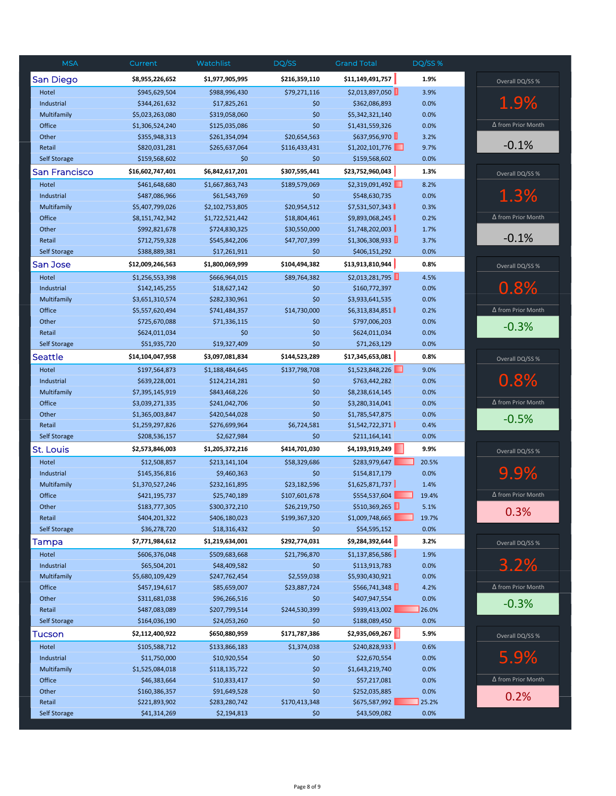| <b>MSA</b>          | Current                          | Watchlist                        | DQ/SS                         | <b>Grand Total</b>                 | DQ/SS %      |                           |
|---------------------|----------------------------------|----------------------------------|-------------------------------|------------------------------------|--------------|---------------------------|
| <b>San Diego</b>    | \$8,955,226,652                  | \$1,977,905,995                  | \$216,359,110                 | \$11,149,491,757                   | 1.9%         | Overall DQ/SS %           |
| Hotel               | \$945,629,504                    | \$988,996,430                    | \$79,271,116                  | \$2,013,897,050                    | 3.9%         |                           |
| Industrial          | \$344,261,632                    | \$17,825,261                     | \$0                           | \$362,086,893                      | 0.0%         | 1.9%                      |
| Multifamily         | \$5,023,263,080                  | \$319,058,060                    | \$0                           | \$5,342,321,140                    | 0.0%         |                           |
| Office              | \$1,306,524,240                  | \$125,035,086                    | \$0                           | \$1,431,559,326                    | 0.0%         | Δ from Prior Month        |
| Other               | \$355,948,313                    | \$261,354,094                    | \$20,654,563                  | \$637,956,970                      | 3.2%         |                           |
| Retail              | \$820,031,281                    | \$265,637,064                    | \$116,433,431                 | \$1,202,101,776                    | 9.7%         | $-0.1%$                   |
| <b>Self Storage</b> | \$159,568,602                    | \$0                              | \$0                           | \$159,568,602                      | 0.0%         |                           |
| San Francisco       | \$16,602,747,401                 | \$6,842,617,201                  | \$307,595,441                 | \$23,752,960,043                   | 1.3%         | Overall DQ/SS %           |
| Hotel               | \$461,648,680                    | \$1,667,863,743                  | \$189,579,069                 | \$2,319,091,492                    | 8.2%         |                           |
| Industrial          | \$487,086,966                    | \$61,543,769                     | \$0                           | \$548,630,735                      | 0.0%         | 1.3%                      |
| Multifamily         | \$5,407,799,026                  | \$2,102,753,805                  | \$20,954,512                  | \$7,531,507,343                    | 0.3%         |                           |
| Office              | \$8,151,742,342                  | \$1,722,521,442                  | \$18,804,461                  | \$9,893,068,245                    | 0.2%         | $\Delta$ from Prior Month |
| Other               | \$992,821,678                    | \$724,830,325                    | \$30,550,000                  | \$1,748,202,003                    | 1.7%         |                           |
| Retail              | \$712,759,328                    | \$545,842,206                    | \$47,707,399                  | \$1,306,308,933                    | 3.7%         | $-0.1%$                   |
| Self Storage        | \$388,889,381                    | \$17,261,911                     | \$0                           | \$406,151,292                      | 0.0%         |                           |
| San Jose            | \$12,009,246,563                 | \$1,800,069,999                  | \$104,494,382                 | \$13,913,810,944                   | 0.8%         | Overall DQ/SS %           |
| Hotel               | \$1,256,553,398                  | \$666,964,015                    | \$89,764,382                  | \$2,013,281,795                    | 4.5%         |                           |
| Industrial          | \$142,145,255                    | \$18,627,142                     | \$0                           | \$160,772,397                      | 0.0%         | 0.8%                      |
| Multifamily         | \$3,651,310,574                  | \$282,330,961                    | \$0                           | \$3,933,641,535                    | 0.0%         |                           |
| Office              | \$5,557,620,494                  | \$741,484,357                    | \$14,730,000                  | \$6,313,834,851                    | 0.2%         | Δ from Prior Month        |
| Other               | \$725,670,088                    | \$71,336,115                     | \$0                           | \$797,006,203                      | 0.0%         | $-0.3%$                   |
| Retail              | \$624,011,034                    | \$0                              | \$0                           | \$624,011,034                      | 0.0%         |                           |
| <b>Self Storage</b> | \$51,935,720                     | \$19,327,409                     | \$0                           | \$71,263,129                       | 0.0%         |                           |
| Seattle             | \$14,104,047,958                 | \$3,097,081,834                  | \$144,523,289                 | \$17,345,653,081                   | 0.8%         | Overall DQ/SS %           |
| Hotel               | \$197,564,873                    | \$1,188,484,645                  | \$137,798,708                 | \$1,523,848,226                    | 9.0%         |                           |
| Industrial          | \$639,228,001                    | \$124,214,281                    | \$0                           | \$763,442,282                      | 0.0%         | 0.8%                      |
| Multifamily         | \$7,395,145,919                  | \$843,468,226                    | \$0                           | \$8,238,614,145                    | 0.0%         |                           |
| Office              | \$3,039,271,335                  | \$241,042,706                    | \$0                           | \$3,280,314,041                    | 0.0%         | Δ from Prior Month        |
| Other               | \$1,365,003,847                  | \$420,544,028                    | \$0                           | \$1,785,547,875                    | 0.0%         | $-0.5%$                   |
| Retail              | \$1,259,297,826                  | \$276,699,964                    | \$6,724,581                   | \$1,542,722,371                    | 0.4%         |                           |
| <b>Self Storage</b> | \$208,536,157                    | \$2,627,984                      | \$0                           | \$211,164,141                      | 0.0%         |                           |
| St. Louis           | \$2,573,846,003                  | \$1,205,372,216                  | \$414,701,030                 | \$4,193,919,249                    | 9.9%         | Overall DQ/SS %           |
| Hotel               | \$12,508,857                     | \$213,141,104                    | \$58,329,686                  | \$283,979,647                      | 20.5%        |                           |
| Industrial          | \$145,356,816                    | \$9,460,363                      | \$0                           | \$154,817,179                      | 0.0%         | 9.9%                      |
| Multifamily         | \$1,370,527,246                  | \$232,161,895                    | \$23,182,596                  | \$1,625,871,737                    | 1.4%         |                           |
| Office              | \$421,195,737                    | \$25,740,189                     | \$107,601,678                 | \$554,537,604                      | 19.4%        | $\Delta$ from Prior Month |
| Other               | \$183,777,305                    | \$300,372,210                    | \$26,219,750                  | \$510,369,265                      | 5.1%         | 0.3%                      |
| Retail              | \$404,201,322                    | \$406,180,023                    | \$199,367,320                 | \$1,009,748,665                    | 19.7%        |                           |
| <b>Self Storage</b> | \$36,278,720                     | \$18,316,432                     | \$0                           | \$54,595,152                       | 0.0%         |                           |
| Tampa<br>Hotel      | \$7,771,984,612<br>\$606,376,048 | \$1,219,634,001<br>\$509,683,668 | \$292,774,031<br>\$21,796,870 | \$9,284,392,644<br>\$1,137,856,586 | 3.2%<br>1.9% | Overall DQ/SS %           |
| Industrial          | \$65,504,201                     | \$48,409,582                     | \$0                           | \$113,913,783                      | 0.0%         | 3.2%                      |
| Multifamily         | \$5,680,109,429                  | \$247,762,454                    | \$2,559,038                   | \$5,930,430,921                    | 0.0%         |                           |
| Office              | \$457,194,617                    | \$85,659,007                     | \$23,887,724                  | \$566,741,348                      | 4.2%         | ∆ from Prior Month        |
| Other               | \$311,681,038                    | \$96,266,516                     | \$0                           | \$407,947,554                      | 0.0%         |                           |
| Retail              | \$487,083,089                    | \$207,799,514                    | \$244,530,399                 | \$939,413,002                      | 26.0%        | $-0.3%$                   |
| <b>Self Storage</b> | \$164,036,190                    | \$24,053,260                     | \$0                           | \$188,089,450                      | 0.0%         |                           |
| Tucson              | \$2,112,400,922                  | \$650,880,959                    | \$171,787,386                 | \$2,935,069,267                    | 5.9%         | Overall DQ/SS %           |
| Hotel               | \$105,588,712                    | \$133,866,183                    | \$1,374,038                   | \$240,828,933                      | 0.6%         |                           |
| Industrial          | \$11,750,000                     | \$10,920,554                     | \$0                           | \$22,670,554                       | 0.0%         | 5.9%                      |
| Multifamily         | \$1,525,084,018                  | \$118,135,722                    | \$0                           | \$1,643,219,740                    | 0.0%         |                           |
| Office              | \$46,383,664                     | \$10,833,417                     | \$0                           | \$57,217,081                       | 0.0%         | ∆ from Prior Month        |
| Other               | \$160,386,357                    | \$91,649,528                     | \$0                           | \$252,035,885                      | 0.0%         |                           |
| Retail              | \$221,893,902                    | \$283,280,742                    | \$170,413,348                 | \$675,587,992                      | 25.2%        | 0.2%                      |
| <b>Self Storage</b> | \$41,314,269                     | \$2,194,813                      | \$0                           | \$43,509,082                       | 0.0%         |                           |